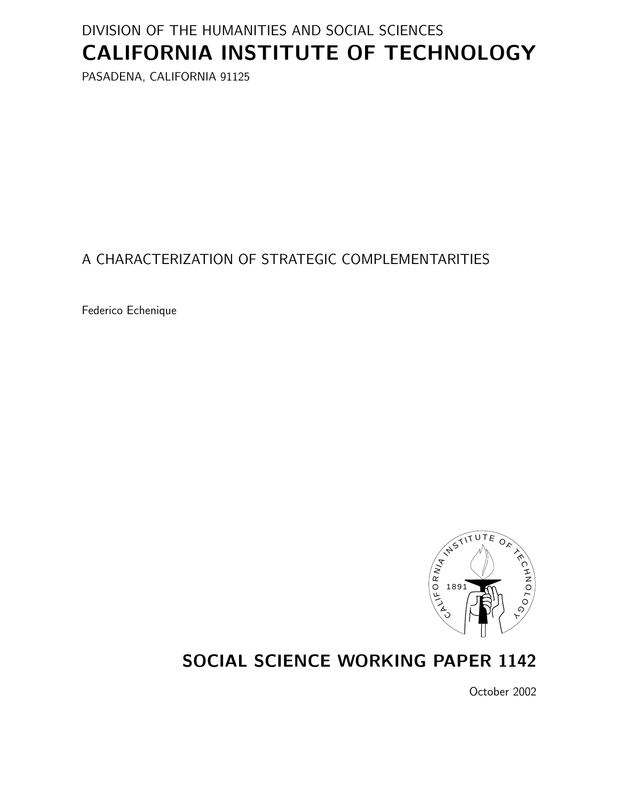# DIVISION OF THE HUMANITIES AND SOCIAL SCIENCES CALIFORNIA INSTITUTE OF TECHNOLOGY

PASADENA, CALIFORNIA 91125

A CHARACTERIZATION OF STRATEGIC COMPLEMENTARITIES

Federico Echenique



# SOCIAL SCIENCE WORKING PAPER 1142

October 2002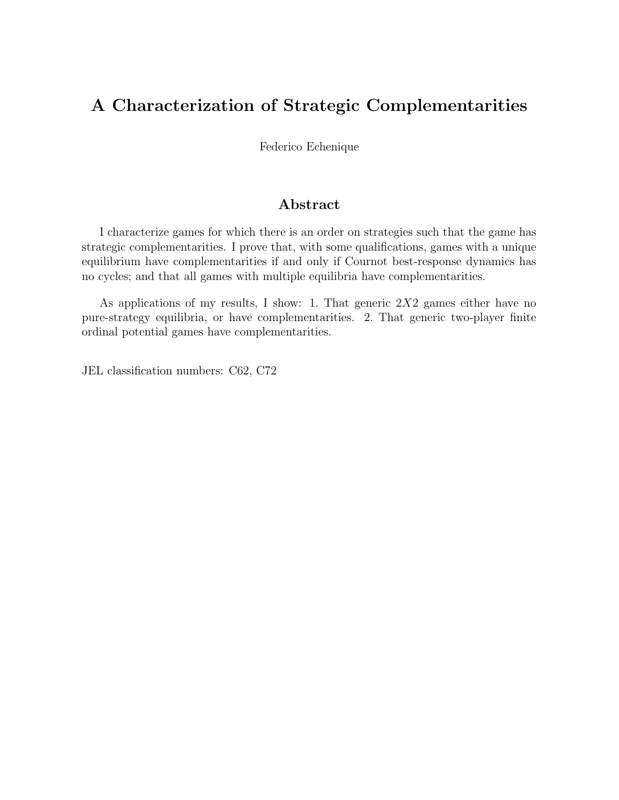# A Characterization of Strategic Complementarities

Federico Echenique

#### Abstract

I characterize games for which there is an order on strategies such that the game has strategic complementarities. I prove that, with some qualifications, games with a unique equilibrium have complementarities if and only if Cournot best-response dynamics has no cycles; and that all games with multiple equilibria have complementarities.

As applications of my results, I show: 1. That generic  $2X2$  games either have no pure-strategy equilibria, or have complementarities. 2. That generic two-player finite ordinal potential games have complementarities.

JEL classification numbers: C62, C72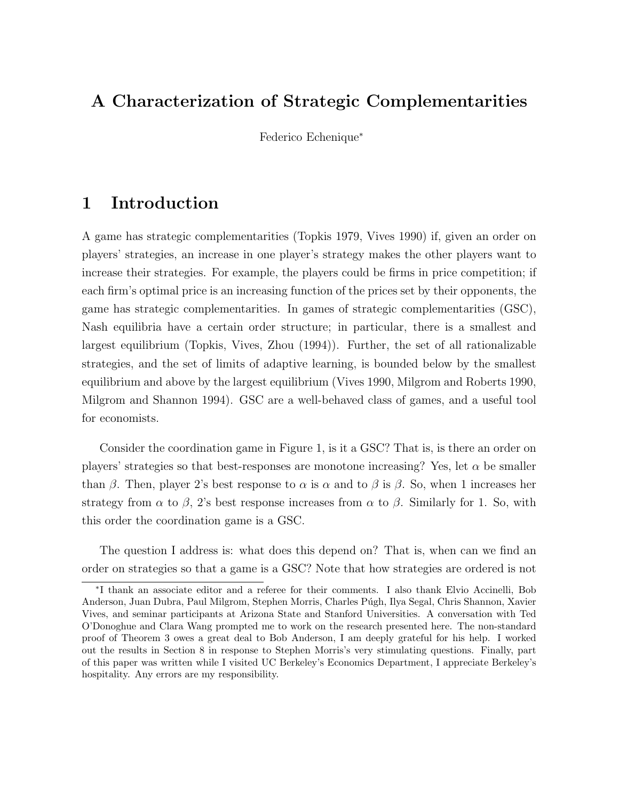# A Characterization of Strategic Complementarities

Federico Echenique<sup>∗</sup>

# 1 Introduction

A game has strategic complementarities (Topkis 1979, Vives 1990) if, given an order on players' strategies, an increase in one player's strategy makes the other players want to increase their strategies. For example, the players could be firms in price competition; if each firm's optimal price is an increasing function of the prices set by their opponents, the game has strategic complementarities. In games of strategic complementarities (GSC), Nash equilibria have a certain order structure; in particular, there is a smallest and largest equilibrium (Topkis, Vives, Zhou (1994)). Further, the set of all rationalizable strategies, and the set of limits of adaptive learning, is bounded below by the smallest equilibrium and above by the largest equilibrium (Vives 1990, Milgrom and Roberts 1990, Milgrom and Shannon 1994). GSC are a well-behaved class of games, and a useful tool for economists.

Consider the coordination game in Figure 1, is it a GSC? That is, is there an order on players' strategies so that best-responses are monotone increasing? Yes, let  $\alpha$  be smaller than β. Then, player 2's best response to  $\alpha$  is  $\alpha$  and to β is β. So, when 1 increases her strategy from  $\alpha$  to  $\beta$ , 2's best response increases from  $\alpha$  to  $\beta$ . Similarly for 1. So, with this order the coordination game is a GSC.

The question I address is: what does this depend on? That is, when can we find an order on strategies so that a game is a GSC? Note that how strategies are ordered is not

<sup>∗</sup> I thank an associate editor and a referee for their comments. I also thank Elvio Accinelli, Bob Anderson, Juan Dubra, Paul Milgrom, Stephen Morris, Charles Púgh, Ilya Segal, Chris Shannon, Xavier Vives, and seminar participants at Arizona State and Stanford Universities. A conversation with Ted O'Donoghue and Clara Wang prompted me to work on the research presented here. The non-standard proof of Theorem 3 owes a great deal to Bob Anderson, I am deeply grateful for his help. I worked out the results in Section 8 in response to Stephen Morris's very stimulating questions. Finally, part of this paper was written while I visited UC Berkeley's Economics Department, I appreciate Berkeley's hospitality. Any errors are my responsibility.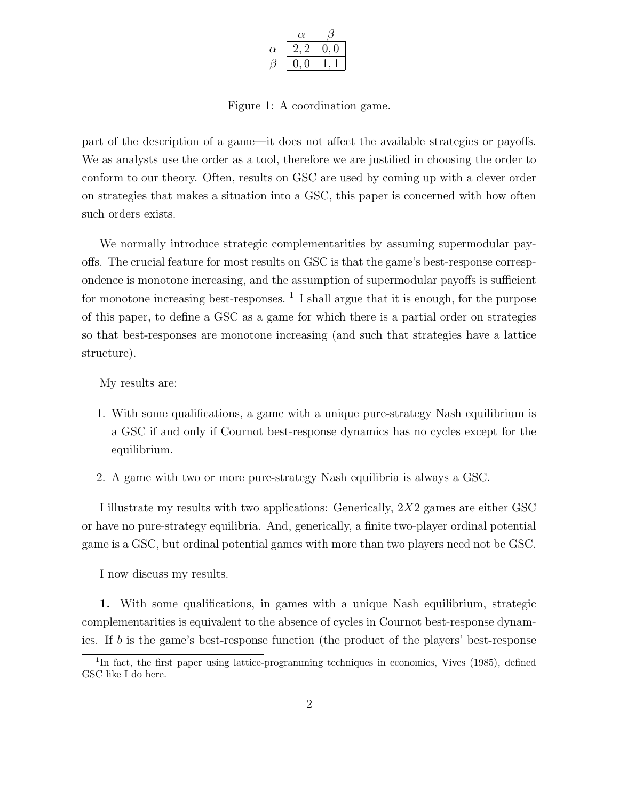|   | $\alpha$      |                     |  |
|---|---------------|---------------------|--|
| γ | $\mathcal{L}$ | $\mathbf{0}$ .<br>0 |  |
|   | 0<br><b>1</b> |                     |  |

Figure 1: A coordination game.

part of the description of a game—it does not affect the available strategies or payoffs. We as analysts use the order as a tool, therefore we are justified in choosing the order to conform to our theory. Often, results on GSC are used by coming up with a clever order on strategies that makes a situation into a GSC, this paper is concerned with how often such orders exists.

We normally introduce strategic complementarities by assuming supermodular payoffs. The crucial feature for most results on GSC is that the game's best-response correspondence is monotone increasing, and the assumption of supermodular payoffs is sufficient for monotone increasing best-responses.<sup>1</sup> I shall argue that it is enough, for the purpose of this paper, to define a GSC as a game for which there is a partial order on strategies so that best-responses are monotone increasing (and such that strategies have a lattice structure).

My results are:

- 1. With some qualifications, a game with a unique pure-strategy Nash equilibrium is a GSC if and only if Cournot best-response dynamics has no cycles except for the equilibrium.
- 2. A game with two or more pure-strategy Nash equilibria is always a GSC.

I illustrate my results with two applications: Generically, 2X2 games are either GSC or have no pure-strategy equilibria. And, generically, a finite two-player ordinal potential game is a GSC, but ordinal potential games with more than two players need not be GSC.

I now discuss my results.

1. With some qualifications, in games with a unique Nash equilibrium, strategic complementarities is equivalent to the absence of cycles in Cournot best-response dynamics. If b is the game's best-response function (the product of the players' best-response

<sup>&</sup>lt;sup>1</sup>In fact, the first paper using lattice-programming techniques in economics, Vives (1985), defined GSC like I do here.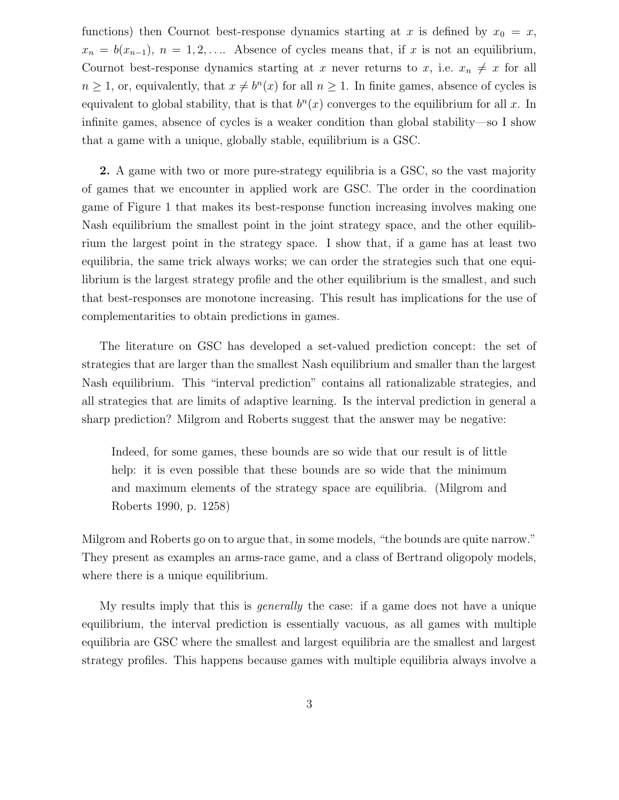functions) then Cournot best-response dynamics starting at x is defined by  $x_0 = x$ ,  $x_n = b(x_{n-1}), n = 1, 2, \ldots$  Absence of cycles means that, if x is not an equilibrium, Cournot best-response dynamics starting at x never returns to x, i.e.  $x_n \neq x$  for all  $n \geq 1$ , or, equivalently, that  $x \neq b^n(x)$  for all  $n \geq 1$ . In finite games, absence of cycles is equivalent to global stability, that is that  $b<sup>n</sup>(x)$  converges to the equilibrium for all x. In infinite games, absence of cycles is a weaker condition than global stability—so I show that a game with a unique, globally stable, equilibrium is a GSC.

2. A game with two or more pure-strategy equilibria is a GSC, so the vast majority of games that we encounter in applied work are GSC. The order in the coordination game of Figure 1 that makes its best-response function increasing involves making one Nash equilibrium the smallest point in the joint strategy space, and the other equilibrium the largest point in the strategy space. I show that, if a game has at least two equilibria, the same trick always works; we can order the strategies such that one equilibrium is the largest strategy profile and the other equilibrium is the smallest, and such that best-responses are monotone increasing. This result has implications for the use of complementarities to obtain predictions in games.

The literature on GSC has developed a set-valued prediction concept: the set of strategies that are larger than the smallest Nash equilibrium and smaller than the largest Nash equilibrium. This "interval prediction" contains all rationalizable strategies, and all strategies that are limits of adaptive learning. Is the interval prediction in general a sharp prediction? Milgrom and Roberts suggest that the answer may be negative:

Indeed, for some games, these bounds are so wide that our result is of little help: it is even possible that these bounds are so wide that the minimum and maximum elements of the strategy space are equilibria. (Milgrom and Roberts 1990, p. 1258)

Milgrom and Roberts go on to argue that, in some models, "the bounds are quite narrow." They present as examples an arms-race game, and a class of Bertrand oligopoly models, where there is a unique equilibrium.

My results imply that this is generally the case: if a game does not have a unique equilibrium, the interval prediction is essentially vacuous, as all games with multiple equilibria are GSC where the smallest and largest equilibria are the smallest and largest strategy profiles. This happens because games with multiple equilibria always involve a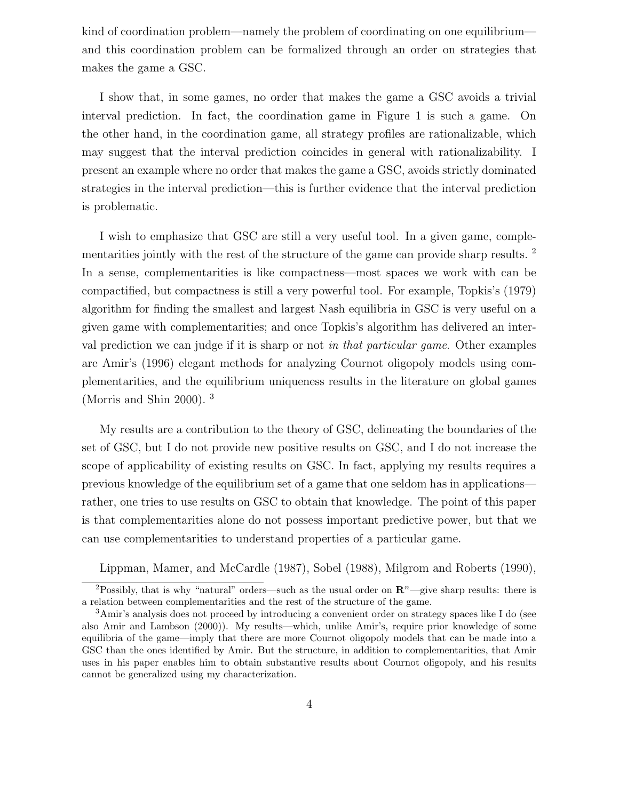kind of coordination problem—namely the problem of coordinating on one equilibrium and this coordination problem can be formalized through an order on strategies that makes the game a GSC.

I show that, in some games, no order that makes the game a GSC avoids a trivial interval prediction. In fact, the coordination game in Figure 1 is such a game. On the other hand, in the coordination game, all strategy profiles are rationalizable, which may suggest that the interval prediction coincides in general with rationalizability. I present an example where no order that makes the game a GSC, avoids strictly dominated strategies in the interval prediction—this is further evidence that the interval prediction is problematic.

I wish to emphasize that GSC are still a very useful tool. In a given game, complementarities jointly with the rest of the structure of the game can provide sharp results. <sup>2</sup> In a sense, complementarities is like compactness—most spaces we work with can be compactified, but compactness is still a very powerful tool. For example, Topkis's (1979) algorithm for finding the smallest and largest Nash equilibria in GSC is very useful on a given game with complementarities; and once Topkis's algorithm has delivered an interval prediction we can judge if it is sharp or not in that particular game. Other examples are Amir's (1996) elegant methods for analyzing Cournot oligopoly models using complementarities, and the equilibrium uniqueness results in the literature on global games (Morris and Shin 2000). <sup>3</sup>

My results are a contribution to the theory of GSC, delineating the boundaries of the set of GSC, but I do not provide new positive results on GSC, and I do not increase the scope of applicability of existing results on GSC. In fact, applying my results requires a previous knowledge of the equilibrium set of a game that one seldom has in applications rather, one tries to use results on GSC to obtain that knowledge. The point of this paper is that complementarities alone do not possess important predictive power, but that we can use complementarities to understand properties of a particular game.

Lippman, Mamer, and McCardle (1987), Sobel (1988), Milgrom and Roberts (1990),

<sup>&</sup>lt;sup>2</sup>Possibly, that is why "natural" orders—such as the usual order on  $\mathbb{R}^n$ —give sharp results: there is a relation between complementarities and the rest of the structure of the game.

<sup>3</sup>Amir's analysis does not proceed by introducing a convenient order on strategy spaces like I do (see also Amir and Lambson (2000)). My results—which, unlike Amir's, require prior knowledge of some equilibria of the game—imply that there are more Cournot oligopoly models that can be made into a GSC than the ones identified by Amir. But the structure, in addition to complementarities, that Amir uses in his paper enables him to obtain substantive results about Cournot oligopoly, and his results cannot be generalized using my characterization.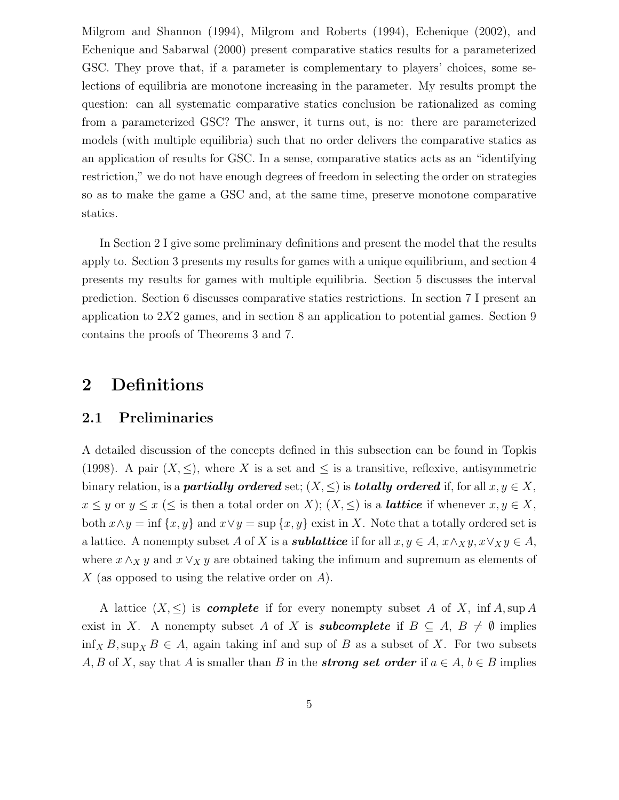Milgrom and Shannon (1994), Milgrom and Roberts (1994), Echenique (2002), and Echenique and Sabarwal (2000) present comparative statics results for a parameterized GSC. They prove that, if a parameter is complementary to players' choices, some selections of equilibria are monotone increasing in the parameter. My results prompt the question: can all systematic comparative statics conclusion be rationalized as coming from a parameterized GSC? The answer, it turns out, is no: there are parameterized models (with multiple equilibria) such that no order delivers the comparative statics as an application of results for GSC. In a sense, comparative statics acts as an "identifying restriction," we do not have enough degrees of freedom in selecting the order on strategies so as to make the game a GSC and, at the same time, preserve monotone comparative statics.

In Section 2 I give some preliminary definitions and present the model that the results apply to. Section 3 presents my results for games with a unique equilibrium, and section 4 presents my results for games with multiple equilibria. Section 5 discusses the interval prediction. Section 6 discusses comparative statics restrictions. In section 7 I present an application to 2X2 games, and in section 8 an application to potential games. Section 9 contains the proofs of Theorems 3 and 7.

### 2 Definitions

#### 2.1 Preliminaries

A detailed discussion of the concepts defined in this subsection can be found in Topkis (1998). A pair  $(X, \leq)$ , where X is a set and  $\leq$  is a transitive, reflexive, antisymmetric binary relation, is a **partially ordered** set;  $(X, \leq)$  is **totally ordered** if, for all  $x, y \in X$ ,  $x \leq y$  or  $y \leq x \leq x$  is then a total order on X);  $(X, \leq)$  is a *lattice* if whenever  $x, y \in X$ , both  $x \wedge y = \inf \{x, y\}$  and  $x \vee y = \sup \{x, y\}$  exist in X. Note that a totally ordered set is a lattice. A nonempty subset A of X is a **sublattice** if for all  $x, y \in A$ ,  $x \wedge_X y$ ,  $x \vee_X y \in A$ , where  $x \wedge_X y$  and  $x \vee_X y$  are obtained taking the infimum and supremum as elements of X (as opposed to using the relative order on  $A$ ).

A lattice  $(X, \leq)$  is *complete* if for every nonempty subset A of X, inf A, sup A exist in X. A nonempty subset A of X is **subcomplete** if  $B \subseteq A$ ,  $B \neq \emptyset$  implies  $\inf_X B$ , sup<sub>X</sub>  $B \in A$ , again taking inf and sup of B as a subset of X. For two subsets A, B of X, say that A is smaller than B in the **strong set order** if  $a \in A$ ,  $b \in B$  implies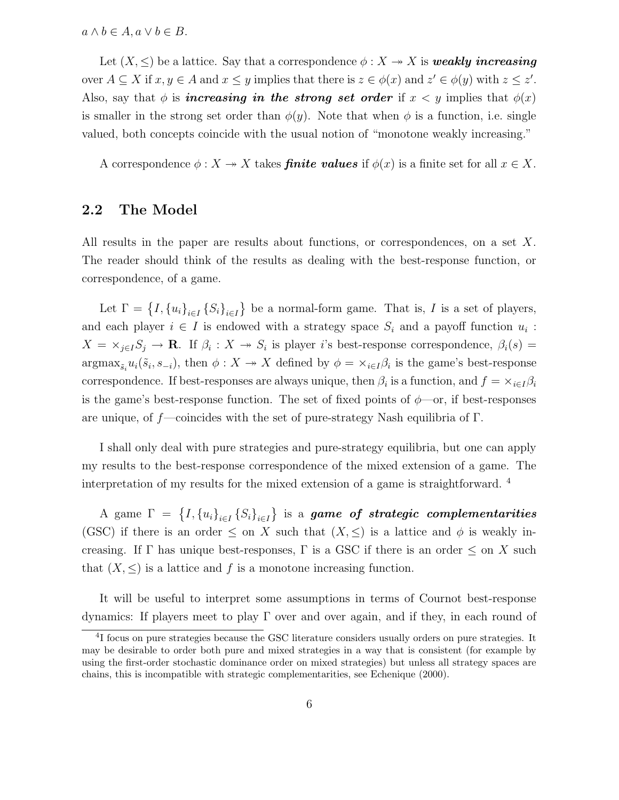$a \wedge b \in A$ ,  $a \vee b \in B$ .

Let  $(X, \leq)$  be a lattice. Say that a correspondence  $\phi: X \rightarrow X$  is weakly increasing over  $A \subseteq X$  if  $x, y \in A$  and  $x \leq y$  implies that there is  $z \in \phi(x)$  and  $z' \in \phi(y)$  with  $z \leq z'$ . Also, say that  $\phi$  is *increasing in the strong set order* if  $x < y$  implies that  $\phi(x)$ is smaller in the strong set order than  $\phi(y)$ . Note that when  $\phi$  is a function, i.e. single valued, both concepts coincide with the usual notion of "monotone weakly increasing."

A correspondence  $\phi: X \to X$  takes **finite values** if  $\phi(x)$  is a finite set for all  $x \in X$ .

#### 2.2 The Model

All results in the paper are results about functions, or correspondences, on a set X. The reader should think of the results as dealing with the best-response function, or correspondence, of a game.

Let  $\Gamma = \{I, \{u_i\}_{i \in I} \{S_i\}_{i \in I}\}\$ be a normal-form game. That is, I is a set of players, and each player  $i \in I$  is endowed with a strategy space  $S_i$  and a payoff function  $u_i$ :  $X = \times_{j \in I} S_j \to \mathbf{R}$ . If  $\beta_i : X \to S_i$  is player i's best-response correspondence,  $\beta_i(s) =$  $\arg\max_{\tilde{s}_i} u_i(\tilde{s}_i, s_{-i}),$  then  $\phi: X \to X$  defined by  $\phi = \times_{i \in I} \beta_i$  is the game's best-response correspondence. If best-responses are always unique, then  $\beta_i$  is a function, and  $f = \times_{i \in I} \beta_i$ is the game's best-response function. The set of fixed points of  $\phi$ —or, if best-responses are unique, of  $f$ —coincides with the set of pure-strategy Nash equilibria of Γ.

I shall only deal with pure strategies and pure-strategy equilibria, but one can apply my results to the best-response correspondence of the mixed extension of a game. The interpretation of my results for the mixed extension of a game is straightforward. <sup>4</sup>

 $\mathrm{A} \ \ \mathrm{game} \ \ \Gamma \ = \ \big\{ I, \left\{ u_i \right\}_{i \in I} \big\{ S_i \}_{i \in I} \big\} \ \ \mathrm{is} \ \ a \ \ \mathit{game \ \ of \ \ strategic \ \ complementarities}$ (GSC) if there is an order  $\leq$  on X such that  $(X, \leq)$  is a lattice and  $\phi$  is weakly increasing. If  $\Gamma$  has unique best-responses,  $\Gamma$  is a GSC if there is an order  $\leq$  on X such that  $(X, \leq)$  is a lattice and f is a monotone increasing function.

It will be useful to interpret some assumptions in terms of Cournot best-response dynamics: If players meet to play Γ over and over again, and if they, in each round of

<sup>&</sup>lt;sup>4</sup>I focus on pure strategies because the GSC literature considers usually orders on pure strategies. It may be desirable to order both pure and mixed strategies in a way that is consistent (for example by using the first-order stochastic dominance order on mixed strategies) but unless all strategy spaces are chains, this is incompatible with strategic complementarities, see Echenique (2000).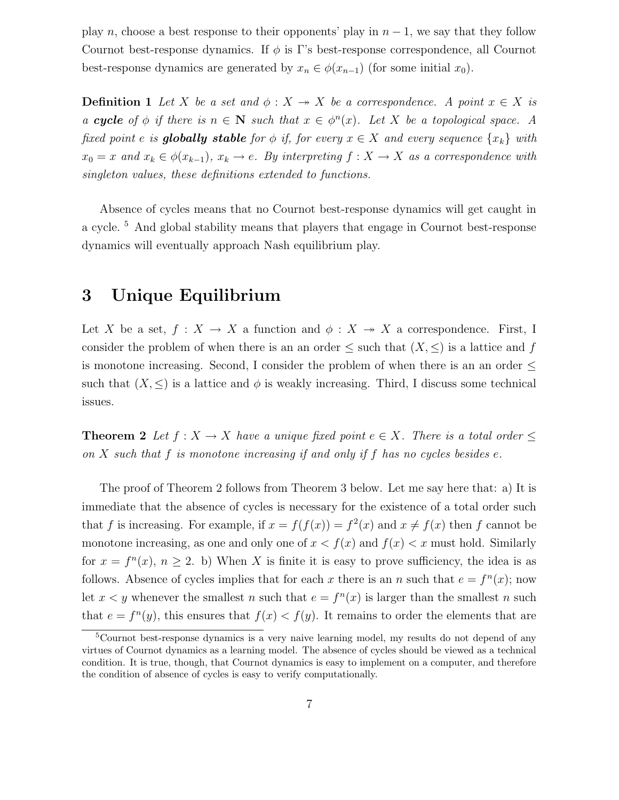play n, choose a best response to their opponents' play in  $n-1$ , we say that they follow Cournot best-response dynamics. If  $\phi$  is Γ's best-response correspondence, all Cournot best-response dynamics are generated by  $x_n \in \phi(x_{n-1})$  (for some initial  $x_0$ ).

**Definition 1** Let X be a set and  $\phi: X \rightarrow X$  be a correspondence. A point  $x \in X$  is a cycle of  $\phi$  if there is  $n \in \mathbb{N}$  such that  $x \in \phi^n(x)$ . Let X be a topological space. A fixed point e is **globally stable** for  $\phi$  if, for every  $x \in X$  and every sequence  $\{x_k\}$  with  $x_0 = x$  and  $x_k \in \phi(x_{k-1}), x_k \to e$ . By interpreting  $f : X \to X$  as a correspondence with singleton values, these definitions extended to functions.

Absence of cycles means that no Cournot best-response dynamics will get caught in a cycle. <sup>5</sup> And global stability means that players that engage in Cournot best-response dynamics will eventually approach Nash equilibrium play.

## 3 Unique Equilibrium

Let X be a set,  $f: X \to X$  a function and  $\phi: X \to X$  a correspondence. First, I consider the problem of when there is an an order  $\leq$  such that  $(X, \leq)$  is a lattice and f is monotone increasing. Second, I consider the problem of when there is an an order ≤ such that  $(X, \leq)$  is a lattice and  $\phi$  is weakly increasing. Third, I discuss some technical issues.

**Theorem 2** Let  $f : X \to X$  have a unique fixed point  $e \in X$ . There is a total order  $\leq$ on X such that f is monotone increasing if and only if f has no cycles besides  $e$ .

The proof of Theorem 2 follows from Theorem 3 below. Let me say here that: a) It is immediate that the absence of cycles is necessary for the existence of a total order such that f is increasing. For example, if  $x = f(f(x)) = f^2(x)$  and  $x \neq f(x)$  then f cannot be monotone increasing, as one and only one of  $x < f(x)$  and  $f(x) < x$  must hold. Similarly for  $x = f^{n}(x)$ ,  $n \ge 2$ . b) When X is finite it is easy to prove sufficiency, the idea is as follows. Absence of cycles implies that for each x there is an n such that  $e = f<sup>n</sup>(x)$ ; now let  $x < y$  whenever the smallest n such that  $e = f<sup>n</sup>(x)$  is larger than the smallest n such that  $e = f^{n}(y)$ , this ensures that  $f(x) < f(y)$ . It remains to order the elements that are

<sup>5</sup>Cournot best-response dynamics is a very naive learning model, my results do not depend of any virtues of Cournot dynamics as a learning model. The absence of cycles should be viewed as a technical condition. It is true, though, that Cournot dynamics is easy to implement on a computer, and therefore the condition of absence of cycles is easy to verify computationally.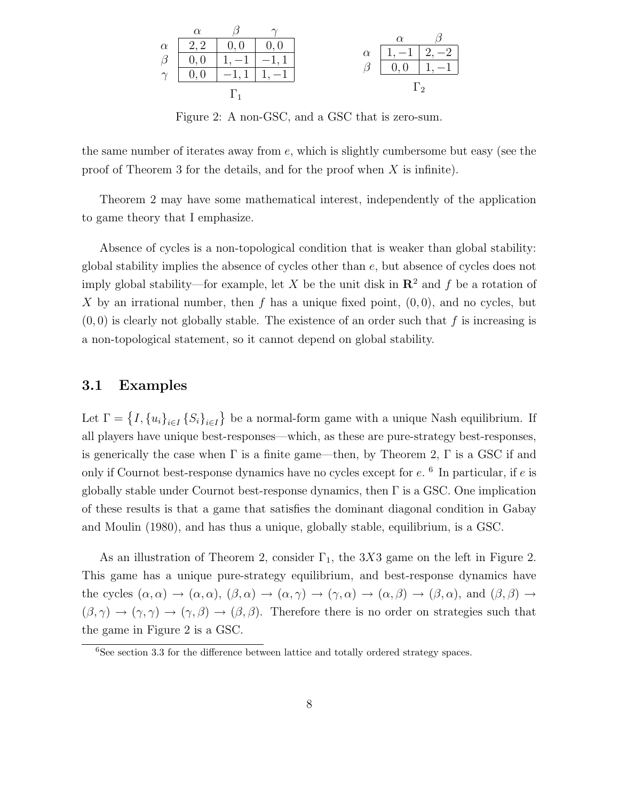|  |  | $\alpha$   2,2   0,0   0,0 |           |           |              |                 |
|--|--|----------------------------|-----------|-----------|--------------|-----------------|
|  |  | $\beta$   0,0   1, -1      |           | $\alpha$  |              | $1, -1$ $2, -2$ |
|  |  | $0, 0 \mid -1, 1 \mid$     | $ 1, -1 $ | $\beta^-$ |              |                 |
|  |  |                            |           |           | $\Gamma_{2}$ |                 |
|  |  |                            |           |           |              |                 |

Figure 2: A non-GSC, and a GSC that is zero-sum.

the same number of iterates away from e, which is slightly cumbersome but easy (see the proof of Theorem 3 for the details, and for the proof when X is infinite).

Theorem 2 may have some mathematical interest, independently of the application to game theory that I emphasize.

Absence of cycles is a non-topological condition that is weaker than global stability: global stability implies the absence of cycles other than e, but absence of cycles does not imply global stability—for example, let X be the unit disk in  $\mathbb{R}^2$  and f be a rotation of X by an irrational number, then f has a unique fixed point,  $(0, 0)$ , and no cycles, but  $(0,0)$  is clearly not globally stable. The existence of an order such that f is increasing is a non-topological statement, so it cannot depend on global stability.

#### 3.1 Examples

Let  $\Gamma = \{I, \{u_i\}_{i \in I} \{S_i\}_{i \in I}\}\$ be a normal-form game with a unique Nash equilibrium. If all players have unique best-responses—which, as these are pure-strategy best-responses, is generically the case when  $\Gamma$  is a finite game—then, by Theorem 2,  $\Gamma$  is a GSC if and only if Cournot best-response dynamics have no cycles except for  $e$ . <sup>6</sup> In particular, if  $e$  is globally stable under Cournot best-response dynamics, then Γ is a GSC. One implication of these results is that a game that satisfies the dominant diagonal condition in Gabay and Moulin (1980), and has thus a unique, globally stable, equilibrium, is a GSC.

As an illustration of Theorem 2, consider  $\Gamma_1$ , the 3X3 game on the left in Figure 2. This game has a unique pure-strategy equilibrium, and best-response dynamics have the cycles  $(\alpha, \alpha) \to (\alpha, \alpha)$ ,  $(\beta, \alpha) \to (\alpha, \gamma) \to (\gamma, \alpha) \to (\alpha, \beta) \to (\beta, \alpha)$ , and  $(\beta, \beta) \to$  $(\beta, \gamma) \to (\gamma, \gamma) \to (\gamma, \beta) \to (\beta, \beta)$ . Therefore there is no order on strategies such that the game in Figure 2 is a GSC.

<sup>&</sup>lt;sup>6</sup>See section 3.3 for the difference between lattice and totally ordered strategy spaces.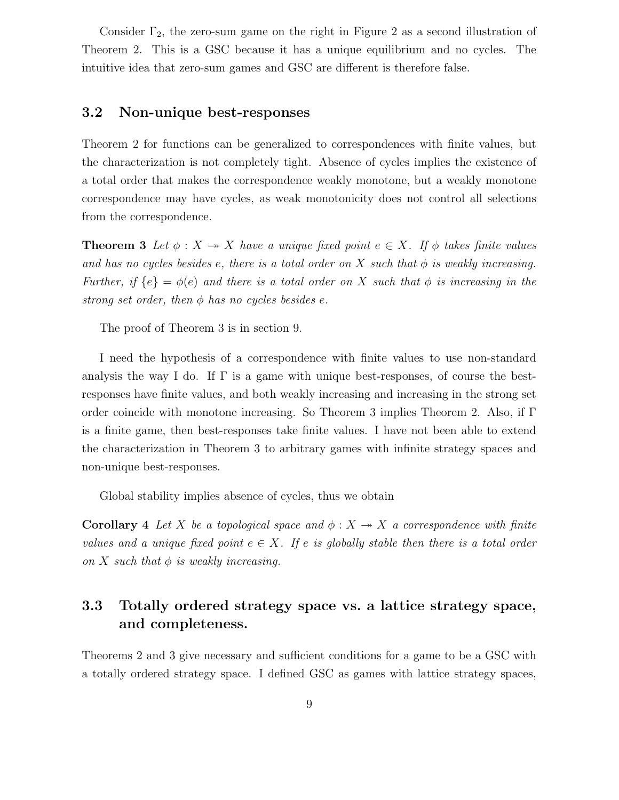Consider  $\Gamma_2$ , the zero-sum game on the right in Figure 2 as a second illustration of Theorem 2. This is a GSC because it has a unique equilibrium and no cycles. The intuitive idea that zero-sum games and GSC are different is therefore false.

#### 3.2 Non-unique best-responses

Theorem 2 for functions can be generalized to correspondences with finite values, but the characterization is not completely tight. Absence of cycles implies the existence of a total order that makes the correspondence weakly monotone, but a weakly monotone correspondence may have cycles, as weak monotonicity does not control all selections from the correspondence.

**Theorem 3** Let  $\phi: X \rightarrow X$  have a unique fixed point  $e \in X$ . If  $\phi$  takes finite values and has no cycles besides e, there is a total order on X such that  $\phi$  is weakly increasing. Further, if  ${e} = \phi(e)$  and there is a total order on X such that  $\phi$  is increasing in the strong set order, then  $\phi$  has no cycles besides e.

The proof of Theorem 3 is in section 9.

I need the hypothesis of a correspondence with finite values to use non-standard analysis the way I do. If  $\Gamma$  is a game with unique best-responses, of course the bestresponses have finite values, and both weakly increasing and increasing in the strong set order coincide with monotone increasing. So Theorem 3 implies Theorem 2. Also, if Γ is a finite game, then best-responses take finite values. I have not been able to extend the characterization in Theorem 3 to arbitrary games with infinite strategy spaces and non-unique best-responses.

Global stability implies absence of cycles, thus we obtain

**Corollary 4** Let X be a topological space and  $\phi: X \rightarrow X$  a correspondence with finite values and a unique fixed point  $e \in X$ . If e is globally stable then there is a total order on X such that  $\phi$  is weakly increasing.

### 3.3 Totally ordered strategy space vs. a lattice strategy space, and completeness.

Theorems 2 and 3 give necessary and sufficient conditions for a game to be a GSC with a totally ordered strategy space. I defined GSC as games with lattice strategy spaces,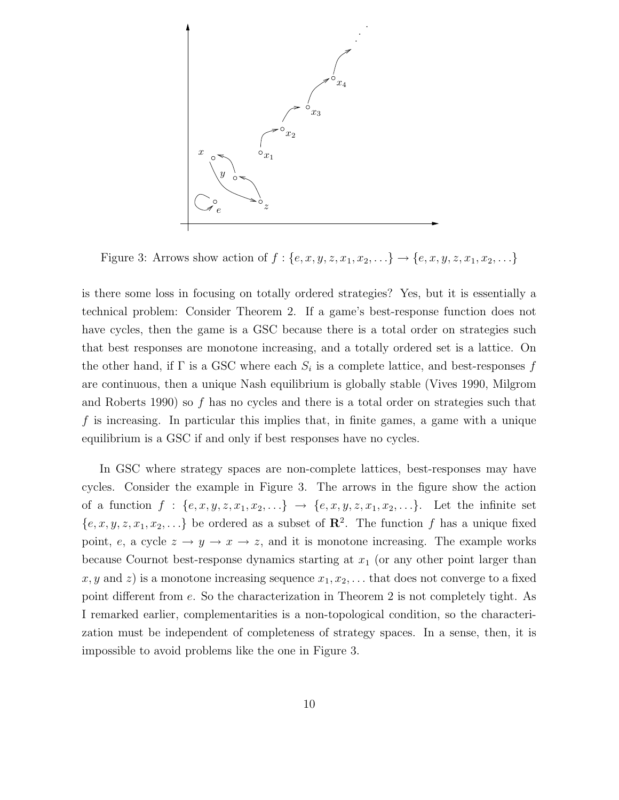

Figure 3: Arrows show action of  $f: \{e, x, y, z, x_1, x_2, \ldots\} \to \{e, x, y, z, x_1, x_2, \ldots\}$ 

is there some loss in focusing on totally ordered strategies? Yes, but it is essentially a technical problem: Consider Theorem 2. If a game's best-response function does not have cycles, then the game is a GSC because there is a total order on strategies such that best responses are monotone increasing, and a totally ordered set is a lattice. On the other hand, if  $\Gamma$  is a GSC where each  $S_i$  is a complete lattice, and best-responses f are continuous, then a unique Nash equilibrium is globally stable (Vives 1990, Milgrom and Roberts 1990) so f has no cycles and there is a total order on strategies such that f is increasing. In particular this implies that, in finite games, a game with a unique equilibrium is a GSC if and only if best responses have no cycles.

In GSC where strategy spaces are non-complete lattices, best-responses may have cycles. Consider the example in Figure 3. The arrows in the figure show the action of a function  $f : \{e, x, y, z, x_1, x_2, \ldots\} \rightarrow \{e, x, y, z, x_1, x_2, \ldots\}.$  Let the infinite set  $\{e, x, y, z, x_1, x_2, \ldots\}$  be ordered as a subset of  $\mathbb{R}^2$ . The function f has a unique fixed point, e, a cycle  $z \to y \to x \to z$ , and it is monotone increasing. The example works because Cournot best-response dynamics starting at  $x_1$  (or any other point larger than x, y and z) is a monotone increasing sequence  $x_1, x_2, \ldots$  that does not converge to a fixed point different from e. So the characterization in Theorem 2 is not completely tight. As I remarked earlier, complementarities is a non-topological condition, so the characterization must be independent of completeness of strategy spaces. In a sense, then, it is impossible to avoid problems like the one in Figure 3.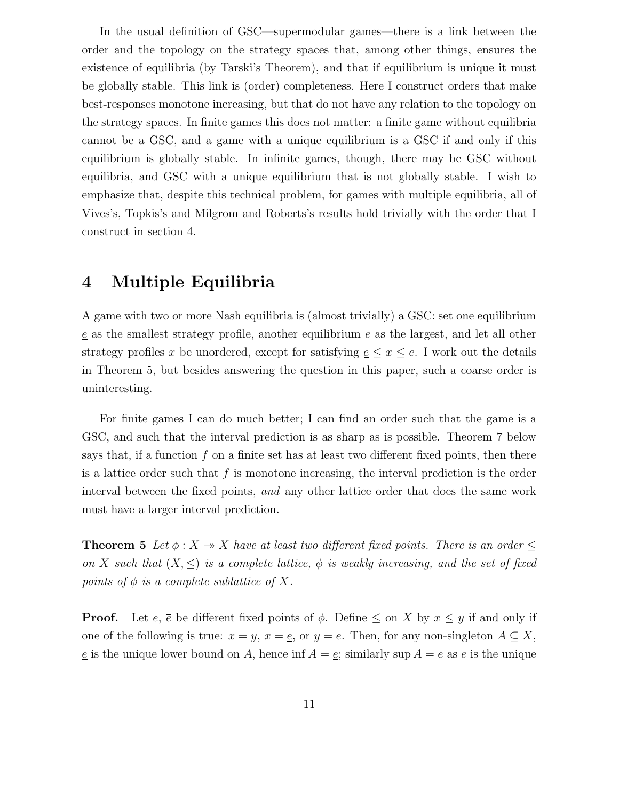In the usual definition of GSC—supermodular games—there is a link between the order and the topology on the strategy spaces that, among other things, ensures the existence of equilibria (by Tarski's Theorem), and that if equilibrium is unique it must be globally stable. This link is (order) completeness. Here I construct orders that make best-responses monotone increasing, but that do not have any relation to the topology on the strategy spaces. In finite games this does not matter: a finite game without equilibria cannot be a GSC, and a game with a unique equilibrium is a GSC if and only if this equilibrium is globally stable. In infinite games, though, there may be GSC without equilibria, and GSC with a unique equilibrium that is not globally stable. I wish to emphasize that, despite this technical problem, for games with multiple equilibria, all of Vives's, Topkis's and Milgrom and Roberts's results hold trivially with the order that I construct in section 4.

### 4 Multiple Equilibria

A game with two or more Nash equilibria is (almost trivially) a GSC: set one equilibrium  $\epsilon$  as the smallest strategy profile, another equilibrium  $\bar{\epsilon}$  as the largest, and let all other strategy profiles x be unordered, except for satisfying  $e \leq x \leq \overline{e}$ . I work out the details in Theorem 5, but besides answering the question in this paper, such a coarse order is uninteresting.

For finite games I can do much better; I can find an order such that the game is a GSC, and such that the interval prediction is as sharp as is possible. Theorem 7 below says that, if a function  $f$  on a finite set has at least two different fixed points, then there is a lattice order such that  $f$  is monotone increasing, the interval prediction is the order interval between the fixed points, and any other lattice order that does the same work must have a larger interval prediction.

**Theorem 5** Let  $\phi: X \rightarrow X$  have at least two different fixed points. There is an order  $\leq$ on X such that  $(X, \leq)$  is a complete lattice,  $\phi$  is weakly increasing, and the set of fixed points of  $\phi$  is a complete sublattice of X.

**Proof.** Let  $\underline{e}$ ,  $\overline{e}$  be different fixed points of  $\phi$ . Define  $\leq$  on X by  $x \leq y$  if and only if one of the following is true:  $x = y$ ,  $x = \underline{e}$ , or  $y = \overline{e}$ . Then, for any non-singleton  $A \subseteq X$ , e is the unique lower bound on A, hence inf  $A = e$ ; similarly sup  $A = \overline{e}$  as  $\overline{e}$  is the unique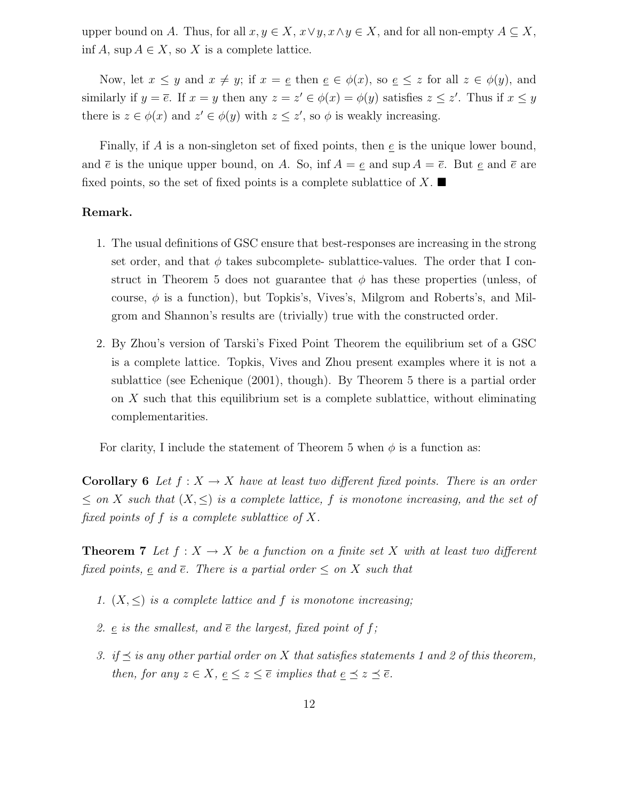upper bound on A. Thus, for all  $x, y \in X$ ,  $x \vee y$ ,  $x \wedge y \in X$ , and for all non-empty  $A \subseteq X$ , inf A, sup  $A \in X$ , so X is a complete lattice.

Now, let  $x \leq y$  and  $x \neq y$ ; if  $x = e$  then  $e \in \phi(x)$ , so  $e \leq z$  for all  $z \in \phi(y)$ , and similarly if  $y = \overline{e}$ . If  $x = y$  then any  $z = z' \in \phi(x) = \phi(y)$  satisfies  $z \leq z'$ . Thus if  $x \leq y$ there is  $z \in \phi(x)$  and  $z' \in \phi(y)$  with  $z \leq z'$ , so  $\phi$  is weakly increasing.

Finally, if A is a non-singleton set of fixed points, then  $\underline{e}$  is the unique lower bound, and  $\bar{e}$  is the unique upper bound, on A. So, inf  $A = \underline{e}$  and  $\sup A = \overline{e}$ . But  $\underline{e}$  and  $\bar{e}$  are fixed points, so the set of fixed points is a complete sublattice of X.  $\blacksquare$ 

#### Remark.

- 1. The usual definitions of GSC ensure that best-responses are increasing in the strong set order, and that  $\phi$  takes subcomplete- sublattice-values. The order that I construct in Theorem 5 does not guarantee that  $\phi$  has these properties (unless, of course,  $\phi$  is a function), but Topkis's, Vives's, Milgrom and Roberts's, and Milgrom and Shannon's results are (trivially) true with the constructed order.
- 2. By Zhou's version of Tarski's Fixed Point Theorem the equilibrium set of a GSC is a complete lattice. Topkis, Vives and Zhou present examples where it is not a sublattice (see Echenique (2001), though). By Theorem 5 there is a partial order on  $X$  such that this equilibrium set is a complete sublattice, without eliminating complementarities.

For clarity, I include the statement of Theorem 5 when  $\phi$  is a function as:

**Corollary 6** Let  $f : X \to X$  have at least two different fixed points. There is an order  $\leq$  on X such that  $(X, \leq)$  is a complete lattice, f is monotone increasing, and the set of fixed points of f is a complete sublattice of  $X$ .

**Theorem 7** Let  $f: X \to X$  be a function on a finite set X with at least two different fixed points, e and  $\overline{e}$ . There is a partial order  $\leq$  on X such that

- 1.  $(X, \leq)$  is a complete lattice and f is monotone increasing;
- 2.  $\underline{e}$  is the smallest, and  $\overline{e}$  the largest, fixed point of f;
- 3. if  $\preceq$  is any other partial order on X that satisfies statements 1 and 2 of this theorem, then, for any  $z \in X$ ,  $\underline{e} \leq z \leq \overline{e}$  implies that  $\underline{e} \preceq z \preceq \overline{e}$ .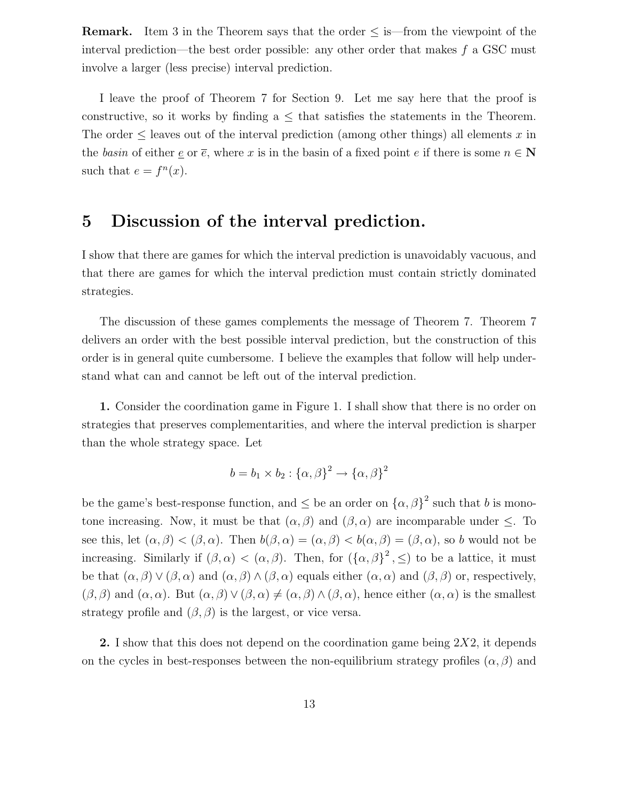**Remark.** Item 3 in the Theorem says that the order  $\leq$  is—from the viewpoint of the interval prediction—the best order possible: any other order that makes  $f$  a GSC must involve a larger (less precise) interval prediction.

I leave the proof of Theorem 7 for Section 9. Let me say here that the proof is constructive, so it works by finding  $a \leq$  that satisfies the statements in the Theorem. The order  $\leq$  leaves out of the interval prediction (among other things) all elements x in the basin of either  $\underline{e}$  or  $\overline{e}$ , where x is in the basin of a fixed point e if there is some  $n \in \mathbb{N}$ such that  $e = f^{n}(x)$ .

### 5 Discussion of the interval prediction.

I show that there are games for which the interval prediction is unavoidably vacuous, and that there are games for which the interval prediction must contain strictly dominated strategies.

The discussion of these games complements the message of Theorem 7. Theorem 7 delivers an order with the best possible interval prediction, but the construction of this order is in general quite cumbersome. I believe the examples that follow will help understand what can and cannot be left out of the interval prediction.

1. Consider the coordination game in Figure 1. I shall show that there is no order on strategies that preserves complementarities, and where the interval prediction is sharper than the whole strategy space. Let

$$
b = b_1 \times b_2 : {\{\alpha, \beta\}}^2 \to {\{\alpha, \beta\}}^2
$$

be the game's best-response function, and  $\leq$  be an order on  $\{\alpha, \beta\}^2$  such that b is monotone increasing. Now, it must be that  $(\alpha, \beta)$  and  $(\beta, \alpha)$  are incomparable under  $\leq$ . To see this, let  $(\alpha, \beta) < (\beta, \alpha)$ . Then  $b(\beta, \alpha) = (\alpha, \beta) < b(\alpha, \beta) = (\beta, \alpha)$ , so b would not be increasing. Similarly if  $(\beta, \alpha) < (\alpha, \beta)$ . Then, for  $({\{\alpha, \beta\}}^2, \leq)$  to be a lattice, it must be that  $(\alpha, \beta) \vee (\beta, \alpha)$  and  $(\alpha, \beta) \wedge (\beta, \alpha)$  equals either  $(\alpha, \alpha)$  and  $(\beta, \beta)$  or, respectively,  $(\beta, \beta)$  and  $(\alpha, \alpha)$ . But  $(\alpha, \beta) \vee (\beta, \alpha) \neq (\alpha, \beta) \wedge (\beta, \alpha)$ , hence either  $(\alpha, \alpha)$  is the smallest strategy profile and  $(\beta, \beta)$  is the largest, or vice versa.

2. I show that this does not depend on the coordination game being  $2X2$ , it depends on the cycles in best-responses between the non-equilibrium strategy profiles  $(\alpha, \beta)$  and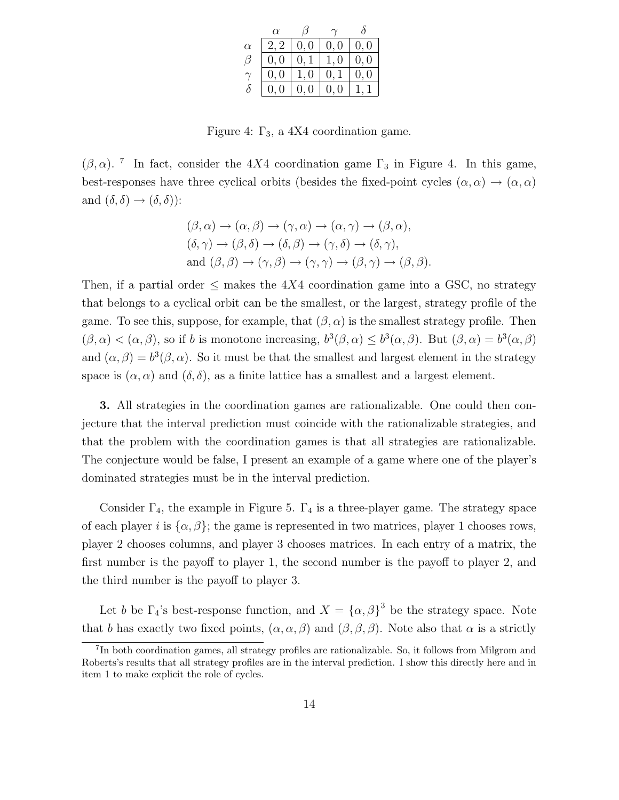|          | $\alpha$ |                |                        |     |
|----------|----------|----------------|------------------------|-----|
| $\alpha$ | 2.2      | 0,0            | 0,0                    | 0,0 |
| $\beta$  | 0, 0     | $\Omega$ .     | $\left( \right)$       | 0,0 |
|          | 0, 0     | $\overline{0}$ | 0                      | 0   |
| $\delta$ |          | 0.<br>U        | 0,<br>$\left( \right)$ |     |

Figure 4:  $\Gamma_3$ , a 4X4 coordination game.

 $(\beta, \alpha)$ . <sup>7</sup> In fact, consider the 4X4 coordination game  $\Gamma_3$  in Figure 4. In this game, best-responses have three cyclical orbits (besides the fixed-point cycles  $(\alpha, \alpha) \rightarrow (\alpha, \alpha)$ ) and  $(\delta, \delta) \rightarrow (\delta, \delta)$ :

$$
(\beta, \alpha) \to (\alpha, \beta) \to (\gamma, \alpha) \to (\alpha, \gamma) \to (\beta, \alpha),
$$
  

$$
(\delta, \gamma) \to (\beta, \delta) \to (\delta, \beta) \to (\gamma, \delta) \to (\delta, \gamma),
$$
  
and 
$$
(\beta, \beta) \to (\gamma, \beta) \to (\gamma, \gamma) \to (\beta, \gamma) \to (\beta, \beta).
$$

Then, if a partial order  $\leq$  makes the 4X4 coordination game into a GSC, no strategy that belongs to a cyclical orbit can be the smallest, or the largest, strategy profile of the game. To see this, suppose, for example, that  $(\beta, \alpha)$  is the smallest strategy profile. Then  $(\beta, \alpha) < (\alpha, \beta)$ , so if b is monotone increasing,  $b^3(\beta, \alpha) \leq b^3(\alpha, \beta)$ . But  $(\beta, \alpha) = b^3(\alpha, \beta)$ and  $(\alpha, \beta) = b^3(\beta, \alpha)$ . So it must be that the smallest and largest element in the strategy space is  $(\alpha, \alpha)$  and  $(\delta, \delta)$ , as a finite lattice has a smallest and a largest element.

3. All strategies in the coordination games are rationalizable. One could then conjecture that the interval prediction must coincide with the rationalizable strategies, and that the problem with the coordination games is that all strategies are rationalizable. The conjecture would be false, I present an example of a game where one of the player's dominated strategies must be in the interval prediction.

Consider  $\Gamma_4$ , the example in Figure 5.  $\Gamma_4$  is a three-player game. The strategy space of each player i is  $\{\alpha, \beta\}$ ; the game is represented in two matrices, player 1 chooses rows, player 2 chooses columns, and player 3 chooses matrices. In each entry of a matrix, the first number is the payoff to player 1, the second number is the payoff to player 2, and the third number is the payoff to player 3.

Let b be  $\Gamma_4$ 's best-response function, and  $X = {\alpha, \beta}^3$  be the strategy space. Note that b has exactly two fixed points,  $(\alpha, \alpha, \beta)$  and  $(\beta, \beta, \beta)$ . Note also that  $\alpha$  is a strictly

<sup>7</sup> In both coordination games, all strategy profiles are rationalizable. So, it follows from Milgrom and Roberts's results that all strategy profiles are in the interval prediction. I show this directly here and in item 1 to make explicit the role of cycles.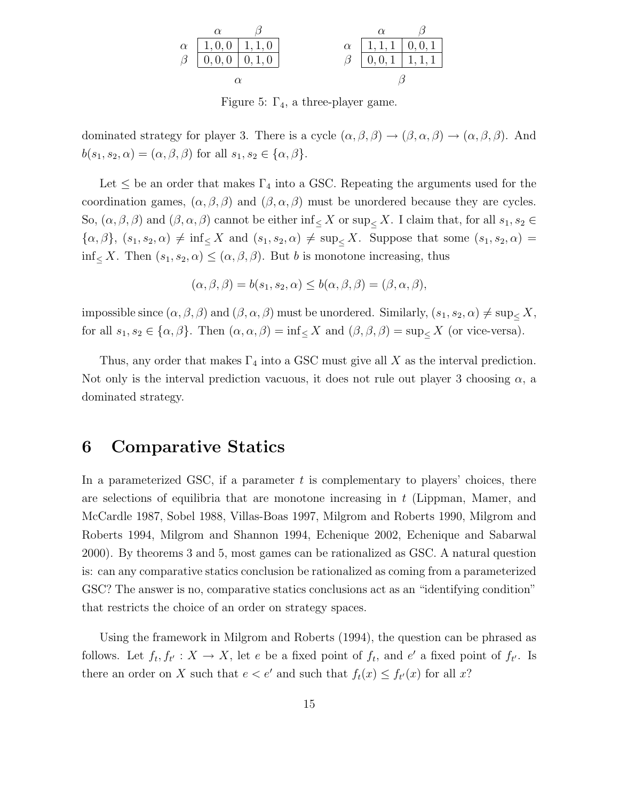| $\alpha$ 1, 0, 0 1, 1, 0 |  | $\alpha$ 1, 1, 1 0, 0, 1 |  |
|--------------------------|--|--------------------------|--|
| $\beta$   0,0,0   0,1,0  |  | $\beta$ 0,0,1 1,1,1      |  |
|                          |  |                          |  |

Figure 5:  $\Gamma_4$ , a three-player game.

dominated strategy for player 3. There is a cycle  $(\alpha, \beta, \beta) \to (\beta, \alpha, \beta) \to (\alpha, \beta, \beta)$ . And  $b(s_1, s_2, \alpha) = (\alpha, \beta, \beta)$  for all  $s_1, s_2 \in {\alpha, \beta}.$ 

Let  $\leq$  be an order that makes  $\Gamma_4$  into a GSC. Repeating the arguments used for the coordination games,  $(\alpha, \beta, \beta)$  and  $(\beta, \alpha, \beta)$  must be unordered because they are cycles. So,  $(\alpha, \beta, \beta)$  and  $(\beta, \alpha, \beta)$  cannot be either inf $\leq X$  or sup $\lt X$ . I claim that, for all  $s_1, s_2 \in$  ${\alpha, \beta}, (s_1, s_2, \alpha) \neq \inf_{\leq} X$  and  $(s_1, s_2, \alpha) \neq \sup_{\leq} X$ . Suppose that some  $(s_1, s_2, \alpha)$ inf<sub><</sub>X. Then  $(s_1, s_2, \alpha) \leq (\alpha, \beta, \beta)$ . But b is monotone increasing, thus

$$
(\alpha, \beta, \beta) = b(s_1, s_2, \alpha) \le b(\alpha, \beta, \beta) = (\beta, \alpha, \beta),
$$

impossible since  $(\alpha, \beta, \beta)$  and  $(\beta, \alpha, \beta)$  must be unordered. Similarly,  $(s_1, s_2, \alpha) \neq \sup_{\leq} X$ , for all  $s_1, s_2 \in {\alpha, \beta}$ . Then  $(\alpha, \alpha, \beta) = \inf_{\leq} X$  and  $(\beta, \beta, \beta) = \sup_{\leq} X$  (or vice-versa).

Thus, any order that makes  $\Gamma_4$  into a GSC must give all X as the interval prediction. Not only is the interval prediction vacuous, it does not rule out player 3 choosing  $\alpha$ , a dominated strategy.

### 6 Comparative Statics

In a parameterized GSC, if a parameter  $t$  is complementary to players' choices, there are selections of equilibria that are monotone increasing in  $t$  (Lippman, Mamer, and McCardle 1987, Sobel 1988, Villas-Boas 1997, Milgrom and Roberts 1990, Milgrom and Roberts 1994, Milgrom and Shannon 1994, Echenique 2002, Echenique and Sabarwal 2000). By theorems 3 and 5, most games can be rationalized as GSC. A natural question is: can any comparative statics conclusion be rationalized as coming from a parameterized GSC? The answer is no, comparative statics conclusions act as an "identifying condition" that restricts the choice of an order on strategy spaces.

Using the framework in Milgrom and Roberts (1994), the question can be phrased as follows. Let  $f_t, f_{t'} : X \to X$ , let e be a fixed point of  $f_t$ , and e' a fixed point of  $f_{t'}$ . Is there an order on X such that  $e < e'$  and such that  $f_t(x) \leq f_{t'}(x)$  for all x?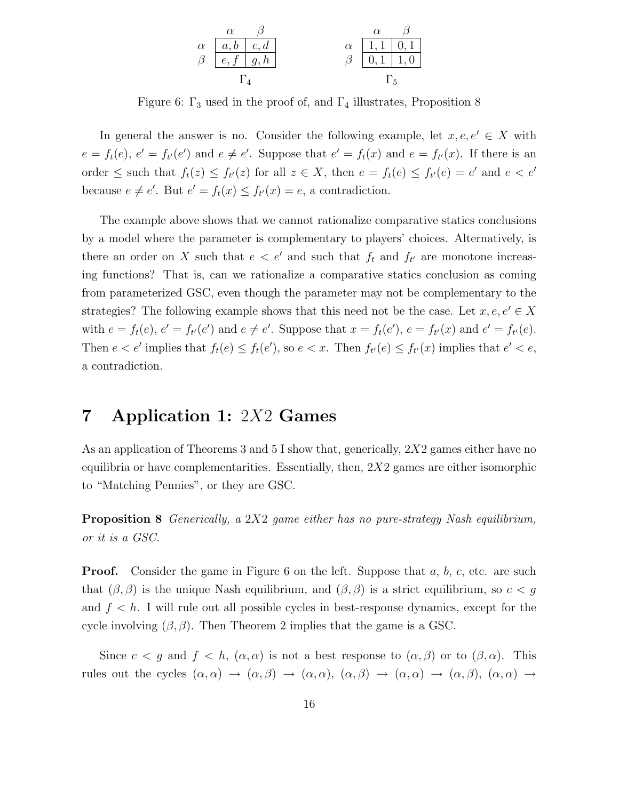$$
\begin{array}{c|cc}\n\alpha & \beta & \alpha & \beta \\
\hline\n\alpha & a, b & c, d \\
\beta & e, f & g, h\n\end{array}\n\qquad\n\begin{array}{c|cc}\n\alpha & \beta & \beta \\
\hline\n\alpha & 1, 1 & 0, 1 \\
\beta & 0, 1 & 1, 0\n\end{array}
$$

Figure 6:  $\Gamma_3$  used in the proof of, and  $\Gamma_4$  illustrates, Proposition 8

In general the answer is no. Consider the following example, let  $x, e, e' \in X$  with  $e = f_t(e)$ ,  $e' = f_{t'}(e')$  and  $e \neq e'$ . Suppose that  $e' = f_t(x)$  and  $e = f_{t'}(x)$ . If there is an order  $\leq$  such that  $f_t(z) \leq f_{t'}(z)$  for all  $z \in X$ , then  $e = f_t(e) \leq f_{t'}(e) = e'$  and  $e < e'$ because  $e \neq e'$ . But  $e' = f_t(x) \leq f_{t'}(x) = e$ , a contradiction.

The example above shows that we cannot rationalize comparative statics conclusions by a model where the parameter is complementary to players' choices. Alternatively, is there an order on X such that  $e < e'$  and such that  $f_t$  and  $f_{t'}$  are monotone increasing functions? That is, can we rationalize a comparative statics conclusion as coming from parameterized GSC, even though the parameter may not be complementary to the strategies? The following example shows that this need not be the case. Let  $x, e, e' \in X$ with  $e = f_t(e)$ ,  $e' = f_{t'}(e')$  and  $e \neq e'$ . Suppose that  $x = f_t(e')$ ,  $e = f_{t'}(x)$  and  $e' = f_{t'}(e)$ . Then  $e < e'$  implies that  $f_t(e) \leq f_t(e')$ , so  $e < x$ . Then  $f_{t'}(e) \leq f_{t'}(x)$  implies that  $e' < e$ , a contradiction.

### 7 Application 1: 2X2 Games

As an application of Theorems 3 and 5 I show that, generically, 2X2 games either have no equilibria or have complementarities. Essentially, then,  $2X2$  games are either isomorphic to "Matching Pennies", or they are GSC.

Proposition 8 Generically, a 2X2 game either has no pure-strategy Nash equilibrium, or it is a GSC.

**Proof.** Consider the game in Figure 6 on the left. Suppose that  $a, b, c$ , etc. are such that  $(\beta, \beta)$  is the unique Nash equilibrium, and  $(\beta, \beta)$  is a strict equilibrium, so  $c < g$ and  $f < h$ . I will rule out all possible cycles in best-response dynamics, except for the cycle involving  $(\beta, \beta)$ . Then Theorem 2 implies that the game is a GSC.

Since  $c < g$  and  $f < h$ ,  $(\alpha, \alpha)$  is not a best response to  $(\alpha, \beta)$  or to  $(\beta, \alpha)$ . This rules out the cycles  $(\alpha, \alpha) \rightarrow (\alpha, \beta) \rightarrow (\alpha, \alpha)$ ,  $(\alpha, \beta) \rightarrow (\alpha, \alpha) \rightarrow (\alpha, \beta)$ ,  $(\alpha, \alpha) \rightarrow$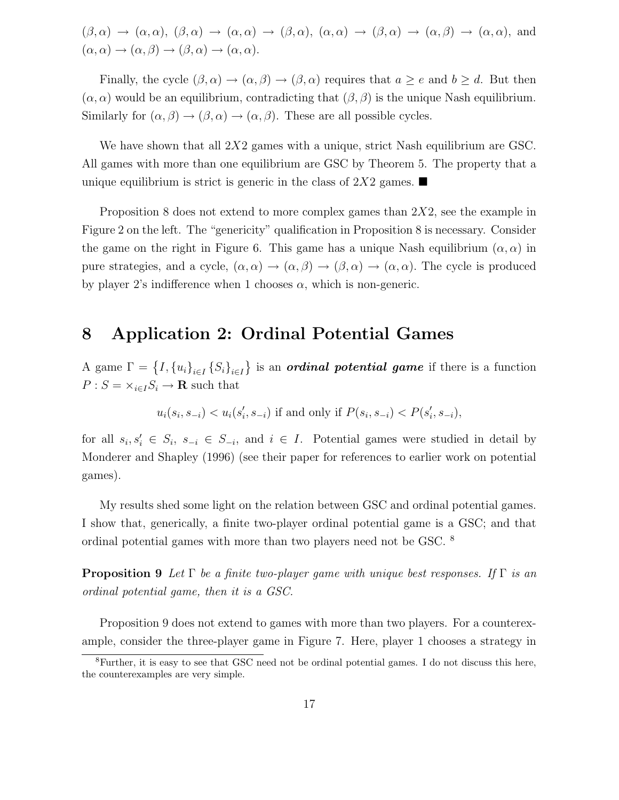$(\beta, \alpha) \rightarrow (\alpha, \alpha), (\beta, \alpha) \rightarrow (\alpha, \alpha) \rightarrow (\beta, \alpha), (\alpha, \alpha) \rightarrow (\beta, \alpha) \rightarrow (\alpha, \beta) \rightarrow (\alpha, \alpha)$ , and  $(\alpha, \alpha) \rightarrow (\alpha, \beta) \rightarrow (\beta, \alpha) \rightarrow (\alpha, \alpha).$ 

Finally, the cycle  $(\beta, \alpha) \to (\alpha, \beta) \to (\beta, \alpha)$  requires that  $a \geq e$  and  $b \geq d$ . But then  $(\alpha, \alpha)$  would be an equilibrium, contradicting that  $(\beta, \beta)$  is the unique Nash equilibrium. Similarly for  $(\alpha, \beta) \rightarrow (\beta, \alpha) \rightarrow (\alpha, \beta)$ . These are all possible cycles.

We have shown that all 2X2 games with a unique, strict Nash equilibrium are GSC. All games with more than one equilibrium are GSC by Theorem 5. The property that a unique equilibrium is strict is generic in the class of  $2X2$  games.

Proposition 8 does not extend to more complex games than 2X2, see the example in Figure 2 on the left. The "genericity" qualification in Proposition 8 is necessary. Consider the game on the right in Figure 6. This game has a unique Nash equilibrium  $(\alpha, \alpha)$  in pure strategies, and a cycle,  $(\alpha, \alpha) \rightarrow (\alpha, \beta) \rightarrow (\beta, \alpha) \rightarrow (\alpha, \alpha)$ . The cycle is produced by player 2's indifference when 1 chooses  $\alpha$ , which is non-generic.

### 8 Application 2: Ordinal Potential Games

A game  $\Gamma = \{I, \{u_i\}_{i \in I} \{S_i\}_{i \in I}\}$  is an *ordinal potential game* if there is a function  $P : S = \times_{i \in I} S_i \rightarrow \mathbf{R}$  such that

$$
u_i(s_i, s_{-i}) < u_i(s'_i, s_{-i})
$$
 if and only if  $P(s_i, s_{-i}) < P(s'_i, s_{-i})$ ,

for all  $s_i, s'_i \in S_i$ ,  $s_{-i} \in S_{-i}$ , and  $i \in I$ . Potential games were studied in detail by Monderer and Shapley (1996) (see their paper for references to earlier work on potential games).

My results shed some light on the relation between GSC and ordinal potential games. I show that, generically, a finite two-player ordinal potential game is a GSC; and that ordinal potential games with more than two players need not be GSC. <sup>8</sup>

**Proposition 9** Let  $\Gamma$  be a finite two-player game with unique best responses. If  $\Gamma$  is an ordinal potential game, then it is a GSC.

Proposition 9 does not extend to games with more than two players. For a counterexample, consider the three-player game in Figure 7. Here, player 1 chooses a strategy in

<sup>8</sup>Further, it is easy to see that GSC need not be ordinal potential games. I do not discuss this here, the counterexamples are very simple.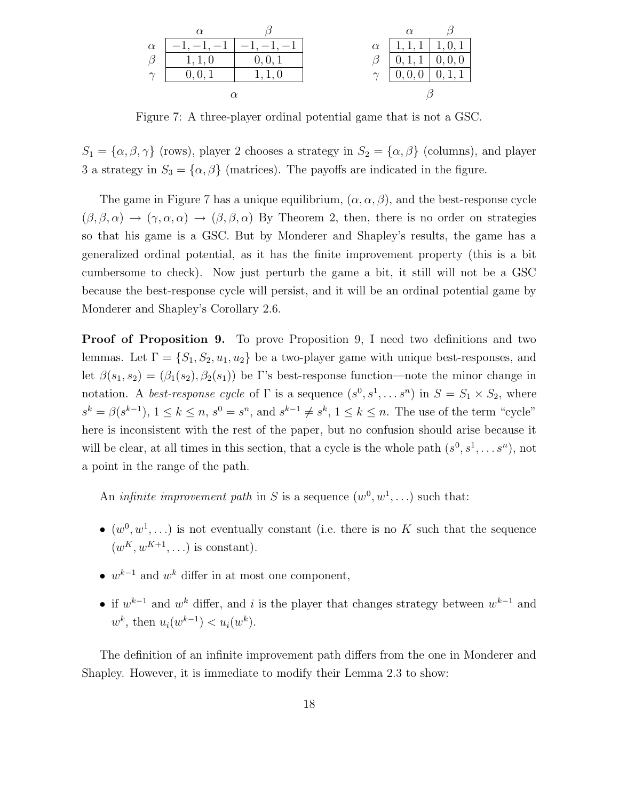| $\alpha$ | $-1, -1,$ |         |           | $\alpha$   1, 1, 1   1, 0, 1 |  |
|----------|-----------|---------|-----------|------------------------------|--|
| $\beta$  | 1, 1, 0   | 0, 0, 1 | $\beta^-$ | $\mid 0, 1, 1 \mid 0, 0, 0$  |  |
| $\sim$   | 0, 0, 1   | 1, 1, 0 | $\gamma$  | 0, 0, 0                      |  |
|          |           |         |           |                              |  |

Figure 7: A three-player ordinal potential game that is not a GSC.

 $S_1 = {\alpha, \beta, \gamma}$  (rows), player 2 chooses a strategy in  $S_2 = {\alpha, \beta}$  (columns), and player 3 a strategy in  $S_3 = {\alpha, \beta}$  (matrices). The payoffs are indicated in the figure.

The game in Figure 7 has a unique equilibrium,  $(\alpha, \alpha, \beta)$ , and the best-response cycle  $(\beta, \beta, \alpha) \rightarrow (\gamma, \alpha, \alpha) \rightarrow (\beta, \beta, \alpha)$  By Theorem 2, then, there is no order on strategies so that his game is a GSC. But by Monderer and Shapley's results, the game has a generalized ordinal potential, as it has the finite improvement property (this is a bit cumbersome to check). Now just perturb the game a bit, it still will not be a GSC because the best-response cycle will persist, and it will be an ordinal potential game by Monderer and Shapley's Corollary 2.6.

Proof of Proposition 9. To prove Proposition 9, I need two definitions and two lemmas. Let  $\Gamma = \{S_1, S_2, u_1, u_2\}$  be a two-player game with unique best-responses, and let  $\beta(s_1, s_2) = (\beta_1(s_2), \beta_2(s_1))$  be Γ's best-response function—note the minor change in notation. A *best-response cycle* of  $\Gamma$  is a sequence  $(s^0, s^1, \ldots s^n)$  in  $S = S_1 \times S_2$ , where  $s^k = \beta(s^{k-1}), 1 \leq k \leq n, s^0 = s^n$ , and  $s^{k-1} \neq s^k, 1 \leq k \leq n$ . The use of the term "cycle" here is inconsistent with the rest of the paper, but no confusion should arise because it will be clear, at all times in this section, that a cycle is the whole path  $(s^0, s^1, \ldots s^n)$ , not a point in the range of the path.

An *infinite improvement path* in S is a sequence  $(w^0, w^1, \ldots)$  such that:

- $\bullet$   $(w^0, w^1, ...)$  is not eventually constant (i.e. there is no K such that the sequence  $(w^K, w^{K+1}, \ldots)$  is constant).
- $w^{k-1}$  and  $w^k$  differ in at most one component,
- if  $w^{k-1}$  and  $w^k$  differ, and i is the player that changes strategy between  $w^{k-1}$  and  $w^k$ , then  $u_i(w^{k-1}) < u_i(w^k)$ .

The definition of an infinite improvement path differs from the one in Monderer and Shapley. However, it is immediate to modify their Lemma 2.3 to show: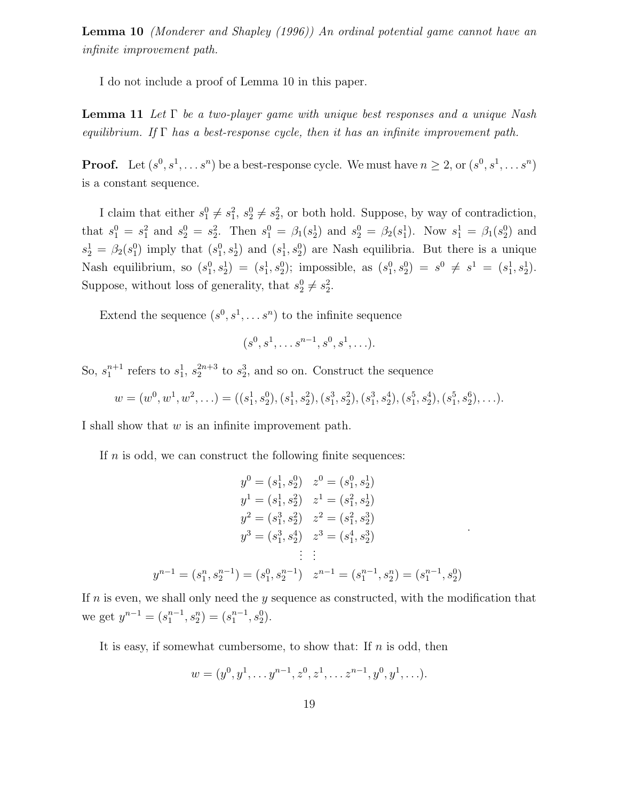Lemma 10 (Monderer and Shapley (1996)) An ordinal potential game cannot have an infinite improvement path.

I do not include a proof of Lemma 10 in this paper.

**Lemma 11** Let  $\Gamma$  be a two-player game with unique best responses and a unique Nash equilibrium. If  $\Gamma$  has a best-response cycle, then it has an infinite improvement path.

**Proof.** Let  $(s^0, s^1, \ldots s^n)$  be a best-response cycle. We must have  $n \geq 2$ , or  $(s^0, s^1, \ldots s^n)$ is a constant sequence.

I claim that either  $s_1^0 \neq s_1^2$ ,  $s_2^0 \neq s_2^2$ , or both hold. Suppose, by way of contradiction, that  $s_1^0 = s_1^2$  and  $s_2^0 = s_2^2$ . Then  $s_1^0 = \beta_1(s_2^1)$  and  $s_2^0 = \beta_2(s_1^1)$ . Now  $s_1^1 = \beta_1(s_2^0)$  and  $s_2^1 = \beta_2(s_1^0)$  imply that  $(s_1^0, s_2^1)$  and  $(s_1^1, s_2^0)$  are Nash equilibria. But there is a unique Nash equilibrium, so  $(s_1^0, s_2^1) = (s_1^1, s_2^0)$ ; impossible, as  $(s_1^0, s_2^0) = s^0 \neq s^1 = (s_1^1, s_2^1)$ . Suppose, without loss of generality, that  $s_2^0 \neq s_2^2$ .

Extend the sequence  $(s^0, s^1, \ldots s^n)$  to the infinite sequence

$$
(s^0, s^1, \ldots s^{n-1}, s^0, s^1, \ldots).
$$

So,  $s_1^{n+1}$  refers to  $s_1^1$ ,  $s_2^{2n+3}$  to  $s_2^3$ , and so on. Construct the sequence

$$
w = (w0, w1, w2, \ldots) = ((s11, s20), (s11, s22), (s13, s22), (s15, s24), (s15, s26), \ldots).
$$

I shall show that w is an infinite improvement path.

If  $n$  is odd, we can construct the following finite sequences:

$$
y^{0} = (s_{1}^{1}, s_{2}^{0}) \t z^{0} = (s_{1}^{0}, s_{2}^{1})
$$
  
\n
$$
y^{1} = (s_{1}^{1}, s_{2}^{2}) \t z^{1} = (s_{1}^{2}, s_{2}^{1})
$$
  
\n
$$
y^{2} = (s_{1}^{3}, s_{2}^{2}) \t z^{2} = (s_{1}^{2}, s_{2}^{3})
$$
  
\n
$$
y^{3} = (s_{1}^{3}, s_{2}^{4}) \t z^{3} = (s_{1}^{4}, s_{2}^{3})
$$
  
\n
$$
\vdots
$$
  
\n
$$
y^{n-1} = (s_{1}^{n}, s_{2}^{n-1}) = (s_{1}^{0}, s_{2}^{n-1}) \t z^{n-1} = (s_{1}^{n-1}, s_{2}^{n}) = (s_{1}^{n-1}, s_{2}^{0})
$$

.

If  $n$  is even, we shall only need the  $y$  sequence as constructed, with the modification that we get  $y^{n-1} = (s_1^{n-1}, s_2^n) = (s_1^{n-1}, s_2^0)$ .

It is easy, if somewhat cumbersome, to show that: If  $n$  is odd, then

 $w = (y^0, y^1, \dots y^{n-1}, z^0, z^1, \dots z^{n-1}, y^0, y^1, \dots).$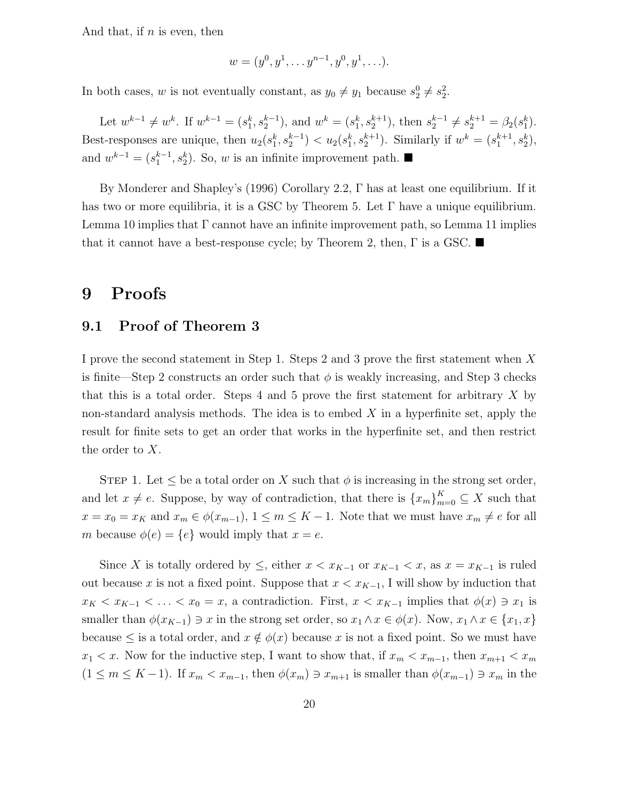And that, if  $n$  is even, then

$$
w = (y^0, y^1, \dots y^{n-1}, y^0, y^1, \dots).
$$

In both cases, w is not eventually constant, as  $y_0 \neq y_1$  because  $s_2^0 \neq s_2^2$ .

Let  $w^{k-1} \neq w^k$ . If  $w^{k-1} = (s_1^k, s_2^{k-1})$ , and  $w^k = (s_1^k, s_2^{k+1})$ , then  $s_2^{k-1} \neq s_2^{k+1} = \beta_2(s_1^k)$ . Best-responses are unique, then  $u_2(s_1^k, s_2^{k-1}) < u_2(s_1^k, s_2^{k+1})$ . Similarly if  $w^k = (s_1^{k+1}, s_2^k)$ , and  $w^{k-1} = (s_1^{k-1}, s_2^k)$ . So, w is an infinite improvement path.  $\blacksquare$ 

By Monderer and Shapley's (1996) Corollary 2.2, Γ has at least one equilibrium. If it has two or more equilibria, it is a GSC by Theorem 5. Let  $\Gamma$  have a unique equilibrium. Lemma 10 implies that Γ cannot have an infinite improvement path, so Lemma 11 implies that it cannot have a best-response cycle; by Theorem 2, then,  $\Gamma$  is a GSC.

### 9 Proofs

#### 9.1 Proof of Theorem 3

I prove the second statement in Step 1. Steps 2 and 3 prove the first statement when X is finite—Step 2 constructs an order such that  $\phi$  is weakly increasing, and Step 3 checks that this is a total order. Steps 4 and 5 prove the first statement for arbitrary  $X$  by non-standard analysis methods. The idea is to embed  $X$  in a hyperfinite set, apply the result for finite sets to get an order that works in the hyperfinite set, and then restrict the order to X.

STEP 1. Let  $\leq$  be a total order on X such that  $\phi$  is increasing in the strong set order, and let  $x \neq e$ . Suppose, by way of contradiction, that there is  ${x_m}_{m=0}^K \subseteq X$  such that  $x = x_0 = x_K$  and  $x_m \in \phi(x_{m-1}), 1 \leq m \leq K-1$ . Note that we must have  $x_m \neq e$  for all m because  $\phi(e) = \{e\}$  would imply that  $x = e$ .

Since X is totally ordered by  $\leq$ , either  $x < x_{K-1}$  or  $x_{K-1} < x$ , as  $x = x_{K-1}$  is ruled out because x is not a fixed point. Suppose that  $x < x_{K-1}$ , I will show by induction that  $x_K < x_{K-1} < \ldots < x_0 = x$ , a contradiction. First,  $x < x_{K-1}$  implies that  $\phi(x) \ni x_1$  is smaller than  $\phi(x_{K-1}) \ni x$  in the strong set order, so  $x_1 \wedge x \in \phi(x)$ . Now,  $x_1 \wedge x \in \{x_1, x\}$ because  $\leq$  is a total order, and  $x \notin \phi(x)$  because x is not a fixed point. So we must have  $x_1 < x$ . Now for the inductive step, I want to show that, if  $x_m < x_{m-1}$ , then  $x_{m+1} < x_m$  $(1 \leq m \leq K-1)$ . If  $x_m < x_{m-1}$ , then  $\phi(x_m) \ni x_{m+1}$  is smaller than  $\phi(x_{m-1}) \ni x_m$  in the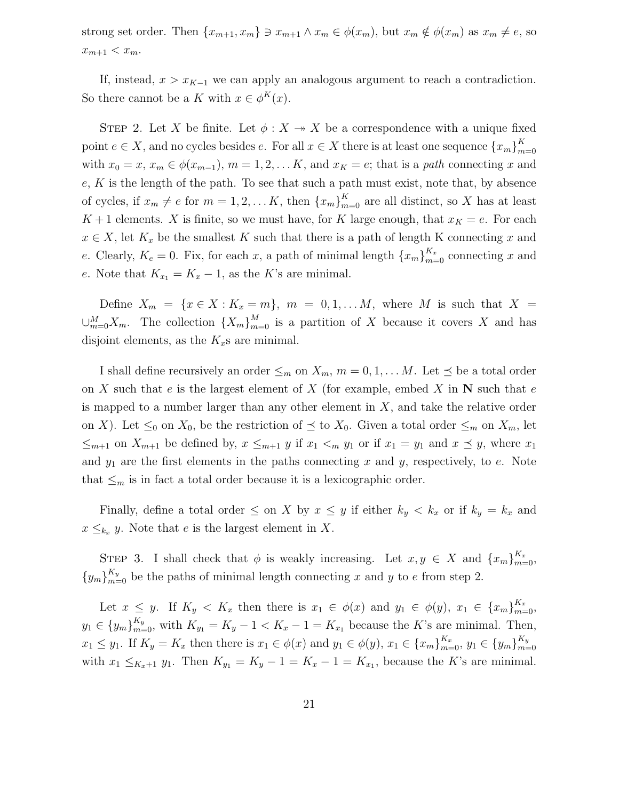strong set order. Then  $\{x_{m+1}, x_m\} \ni x_{m+1} \land x_m \in \phi(x_m)$ , but  $x_m \notin \phi(x_m)$  as  $x_m \neq e$ , so  $x_{m+1} < x_m$ .

If, instead,  $x > x_{K-1}$  we can apply an analogous argument to reach a contradiction. So there cannot be a K with  $x \in \phi^K(x)$ .

STEP 2. Let X be finite. Let  $\phi: X \rightarrow X$  be a correspondence with a unique fixed point  $e \in X$ , and no cycles besides e. For all  $x \in X$  there is at least one sequence  $\{x_m\}_{m=1}^K$  $m=0$ with  $x_0 = x, x_m \in \phi(x_{m-1}), m = 1, 2, \ldots K$ , and  $x_K = e$ ; that is a path connecting x and  $e, K$  is the length of the path. To see that such a path must exist, note that, by absence of cycles, if  $x_m \neq e$  for  $m = 1, 2, \ldots K$ , then  $\{x_m\}_{m=0}^K$  are all distinct, so X has at least  $K+1$  elements. X is finite, so we must have, for K large enough, that  $x_K = e$ . For each  $x \in X$ , let  $K_x$  be the smallest K such that there is a path of length K connecting x and e. Clearly,  $K_e = 0$ . Fix, for each x, a path of minimal length  $\{x_m\}_{m=0}^{K_x}$  connecting x and e. Note that  $K_{x_1} = K_x - 1$ , as the K's are minimal.

Define  $X_m = \{x \in X : K_x = m\}, m = 0, 1, \ldots M$ , where M is such that  $X =$  $\cup_{m=0}^M X_m$ . The collection  $\{X_m\}_{m=0}^M$  is a partition of X because it covers X and has disjoint elements, as the  $K_x$ s are minimal.

I shall define recursively an order  $\leq_m$  on  $X_m$ ,  $m = 0, 1, \ldots M$ . Let  $\preceq$  be a total order on X such that e is the largest element of X (for example, embed X in  $N$  such that e is mapped to a number larger than any other element in  $X$ , and take the relative order on X). Let  $\leq_0$  on  $X_0$ , be the restriction of  $\preceq$  to  $X_0$ . Given a total order  $\leq_m$  on  $X_m$ , let  $\leq_{m+1}$  on  $X_{m+1}$  be defined by,  $x \leq_{m+1} y$  if  $x_1 \leq_m y_1$  or if  $x_1 = y_1$  and  $x \preceq y$ , where  $x_1$ and  $y_1$  are the first elements in the paths connecting x and y, respectively, to e. Note that  $\leq_m$  is in fact a total order because it is a lexicographic order.

Finally, define a total order  $\leq$  on X by  $x \leq y$  if either  $k_y < k_x$  or if  $k_y = k_x$  and  $x \leq_{k_x} y$ . Note that e is the largest element in X.

STEP 3. I shall check that  $\phi$  is weakly increasing. Let  $x, y \in X$  and  $\{x_m\}_{m=0}^{K_x}$ ,  ${y_m}_{m=0}^{K_y}$  be the paths of minimal length connecting x and y to e from step 2.

Let  $x \leq y$ . If  $K_y < K_x$  then there is  $x_1 \in \phi(x)$  and  $y_1 \in \phi(y)$ ,  $x_1 \in \{x_m\}_{m=0}^{K_x}$ ,  $y_1 \in \{y_m\}_{m=0}^{K_y}$ , with  $K_{y_1} = K_y - 1 < K_x - 1 = K_{x_1}$  because the K's are minimal. Then,  $x_1 \leq y_1$ . If  $K_y = K_x$  then there is  $x_1 \in \phi(x)$  and  $y_1 \in \phi(y)$ ,  $x_1 \in \{x_m\}_{m=0}^{K_x}$ ,  $y_1 \in \{y_m\}_{m=0}^{K_y}$  $m=0$ with  $x_1 \leq_{K_x+1} y_1$ . Then  $K_{y_1} = K_y - 1 = K_x - 1 = K_{x_1}$ , because the K's are minimal.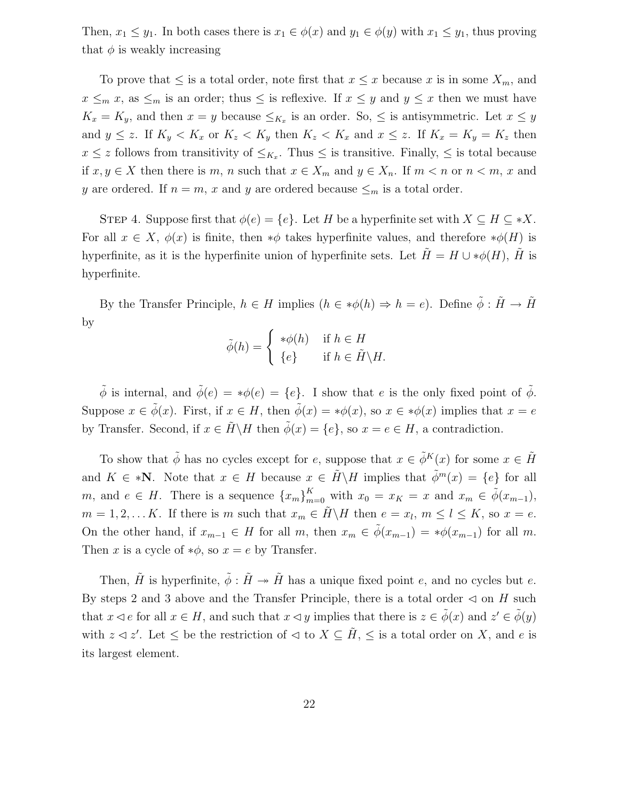Then,  $x_1 \leq y_1$ . In both cases there is  $x_1 \in \phi(x)$  and  $y_1 \in \phi(y)$  with  $x_1 \leq y_1$ , thus proving that  $\phi$  is weakly increasing

To prove that  $\leq$  is a total order, note first that  $x \leq x$  because x is in some  $X_m$ , and  $x \leq_m x$ , as  $\leq_m$  is an order; thus  $\leq$  is reflexive. If  $x \leq y$  and  $y \leq x$  then we must have  $K_x = K_y$ , and then  $x = y$  because  $\leq_{K_x}$  is an order. So,  $\leq$  is antisymmetric. Let  $x \leq y$ and  $y \leq z$ . If  $K_y < K_x$  or  $K_z < K_y$  then  $K_z < K_x$  and  $x \leq z$ . If  $K_x = K_y = K_z$  then  $x \leq z$  follows from transitivity of  $\leq_{K_x}$ . Thus  $\leq$  is transitive. Finally,  $\leq$  is total because if  $x, y \in X$  then there is m, n such that  $x \in X_m$  and  $y \in X_n$ . If  $m < n$  or  $n < m$ , x and y are ordered. If  $n = m$ , x and y are ordered because  $\leq_m$  is a total order.

STEP 4. Suppose first that  $\phi(e) = \{e\}$ . Let H be a hyperfinite set with  $X \subseteq H \subseteq *X$ . For all  $x \in X$ ,  $\phi(x)$  is finite, then  $*\phi$  takes hyperfinite values, and therefore  $*\phi(H)$  is hyperfinite, as it is the hyperfinite union of hyperfinite sets. Let  $\tilde{H} = H \cup \ast \phi(H)$ ,  $\tilde{H}$  is hyperfinite.

By the Transfer Principle,  $h \in H$  implies  $(h \in * \phi(h) \Rightarrow h = e)$ . Define  $\tilde{\phi} : \tilde{H} \to \tilde{H}$ by

$$
\tilde{\phi}(h) = \begin{cases} * \phi(h) & \text{if } h \in H \\ \{e\} & \text{if } h \in \tilde{H} \backslash H. \end{cases}
$$

 $\tilde{\phi}$  is internal, and  $\tilde{\phi}(e) = * \phi(e) = \{e\}$ . I show that e is the only fixed point of  $\tilde{\phi}$ . Suppose  $x \in \phi(x)$ . First, if  $x \in H$ , then  $\phi(x) = * \phi(x)$ , so  $x \in * \phi(x)$  implies that  $x = e$ by Transfer. Second, if  $x \in \tilde{H} \backslash H$  then  $\tilde{\phi}(x) = \{e\}$ , so  $x = e \in H$ , a contradiction.

To show that  $\tilde{\phi}$  has no cycles except for e, suppose that  $x \in \tilde{\phi}^K(x)$  for some  $x \in \tilde{H}$ and  $K \in *N$ . Note that  $x \in H$  because  $x \in \tilde{H}\backslash H$  implies that  $\tilde{\phi}^m(x) = \{e\}$  for all m, and  $e \in H$ . There is a sequence  $\{x_m\}_{m=0}^K$  with  $x_0 = x_K = x$  and  $x_m \in \tilde{\phi}(x_{m-1}),$  $m = 1, 2, \dots K$ . If there is m such that  $x_m \in \tilde{H} \backslash H$  then  $e = x_l$ ,  $m \le l \le K$ , so  $x = e$ . On the other hand, if  $x_{m-1} \in H$  for all m, then  $x_m \in \tilde{\phi}(x_{m-1}) = * \phi(x_{m-1})$  for all m. Then x is a cycle of  $*\phi$ , so  $x = e$  by Transfer.

Then,  $\tilde{H}$  is hyperfinite,  $\tilde{\phi} : \tilde{H} \to \tilde{H}$  has a unique fixed point e, and no cycles but e. By steps 2 and 3 above and the Transfer Principle, there is a total order  $\triangleleft$  on H such that  $x \triangleleft e$  for all  $x \in H$ , and such that  $x \triangleleft y$  implies that there is  $z \in \tilde{\phi}(x)$  and  $z' \in \tilde{\phi}(y)$ with  $z \leq z'$ . Let  $\leq$  be the restriction of  $\leq$  to  $X \subseteq \tilde{H}$ ,  $\leq$  is a total order on X, and e is its largest element.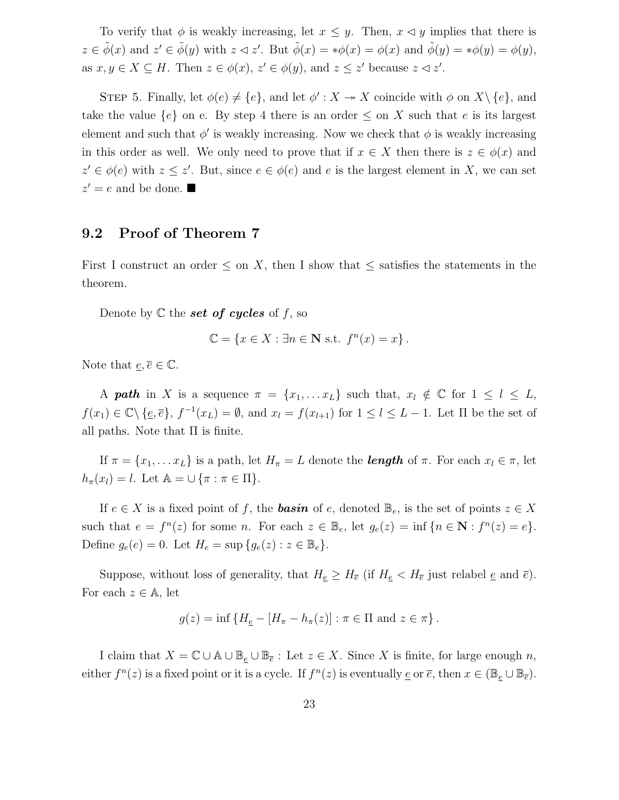To verify that  $\phi$  is weakly increasing, let  $x \leq y$ . Then,  $x \leq y$  implies that there is  $z \in \tilde{\phi}(x)$  and  $z' \in \tilde{\phi}(y)$  with  $z \lhd z'$ . But  $\tilde{\phi}(x) = * \phi(x) = \phi(x)$  and  $\tilde{\phi}(y) = * \phi(y) = \phi(y)$ , as  $x, y \in X \subseteq H$ . Then  $z \in \phi(x), z' \in \phi(y)$ , and  $z \leq z'$  because  $z \leq z'$ .

STEP 5. Finally, let  $\phi(e) \neq \{e\}$ , and let  $\phi': X \to X$  coincide with  $\phi$  on  $X \setminus \{e\}$ , and take the value  $\{e\}$  on e. By step 4 there is an order  $\leq$  on X such that e is its largest element and such that  $\phi'$  is weakly increasing. Now we check that  $\phi$  is weakly increasing in this order as well. We only need to prove that if  $x \in X$  then there is  $z \in \phi(x)$  and  $z' \in \phi(e)$  with  $z \leq z'$ . But, since  $e \in \phi(e)$  and e is the largest element in X, we can set  $z' = e$  and be done.

#### 9.2 Proof of Theorem 7

First I construct an order  $\leq$  on X, then I show that  $\leq$  satisfies the statements in the theorem.

Denote by  $\mathbb C$  the set of cycles of f, so

$$
\mathbb{C} = \{x \in X : \exists n \in \mathbb{N} \text{ s.t. } f^n(x) = x\}.
$$

Note that  $\underline{e}, \overline{e} \in \mathbb{C}$ .

A **path** in X is a sequence  $\pi = \{x_1, \ldots x_L\}$  such that,  $x_l \notin \mathbb{C}$  for  $1 \leq l \leq L$ ,  $f(x_1) \in \mathbb{C} \setminus \{\underline{e}, \overline{e}\}, f^{-1}(x_L) = \emptyset$ , and  $x_l = f(x_{l+1})$  for  $1 \leq l \leq L-1$ . Let  $\Pi$  be the set of all paths. Note that  $\Pi$  is finite.

If  $\pi = \{x_1, \ldots x_L\}$  is a path, let  $H_{\pi} = L$  denote the **length** of  $\pi$ . For each  $x_l \in \pi$ , let  $h_{\pi}(x_l) = l.$  Let  $\mathbb{A} = \cup \{\pi : \pi \in \Pi\}.$ 

If  $e \in X$  is a fixed point of f, the **basin** of e, denoted  $\mathbb{B}_e$ , is the set of points  $z \in X$ such that  $e = f^{n}(z)$  for some n. For each  $z \in \mathbb{B}_{e}$ , let  $g_{e}(z) = \inf \{ n \in \mathbb{N} : f^{n}(z) = e \}.$ Define  $g_e(e) = 0$ . Let  $H_e = \sup \{g_e(z) : z \in \mathbb{B}_e\}.$ 

Suppose, without loss of generality, that  $H_{\underline{e}} \geq H_{\overline{e}}$  (if  $H_{\underline{e}} < H_{\overline{e}}$  just relabel  $\underline{e}$  and  $\overline{e}$ ). For each  $z \in \mathbb{A}$ , let

$$
g(z) = \inf \{ H_{\underline{e}} - [H_{\pi} - h_{\pi}(z)] : \pi \in \Pi \text{ and } z \in \pi \}.
$$

I claim that  $X = \mathbb{C} \cup \mathbb{A} \cup \mathbb{B}_{\overline{e}} \cup \mathbb{B}_{\overline{e}}$ : Let  $z \in X$ . Since X is finite, for large enough n, either  $f^{n}(z)$  is a fixed point or it is a cycle. If  $f^{n}(z)$  is eventually  $\underline{e}$  or  $\overline{e}$ , then  $x \in (\mathbb{B}_{\underline{e}} \cup \mathbb{B}_{\overline{e}})$ .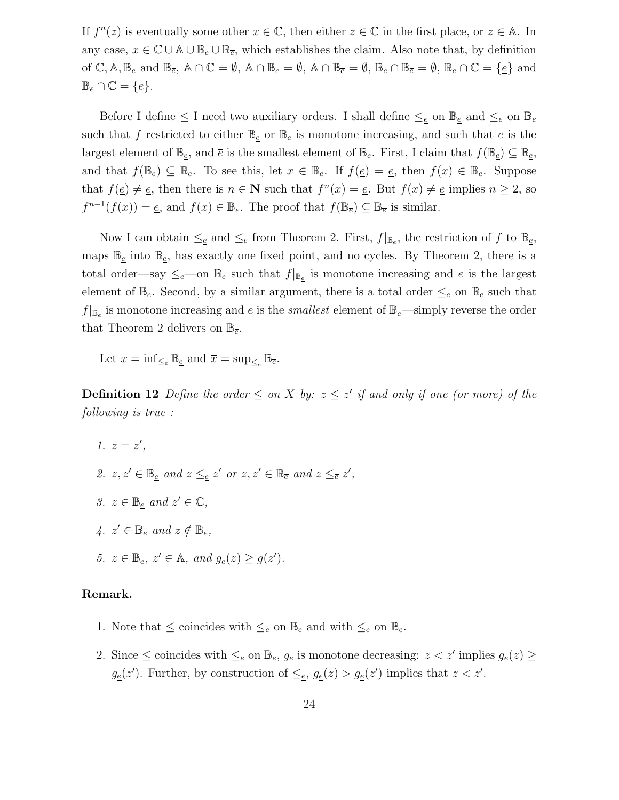If  $f^{n}(z)$  is eventually some other  $x \in \mathbb{C}$ , then either  $z \in \mathbb{C}$  in the first place, or  $z \in \mathbb{A}$ . In any case,  $x \in \mathbb{C} \cup \mathbb{A} \cup \mathbb{B}_e \cup \mathbb{B}_{\overline{e}}$ , which establishes the claim. Also note that, by definition of  $\mathbb{C}, \mathbb{A}, \mathbb{B}_{\underline{e}}$  and  $\mathbb{B}_{\overline{e}}, \mathbb{A} \cap \mathbb{C} = \emptyset$ ,  $\mathbb{A} \cap \mathbb{B}_{\underline{e}} = \emptyset$ ,  $\mathbb{A} \cap \mathbb{B}_{\overline{e}} = \emptyset$ ,  $\mathbb{B}_{\underline{e}} \cap \mathbb{B}_{\overline{e}} = \emptyset$ ,  $\mathbb{B}_{\underline{e}} \cap \mathbb{C} = {\underline{e}}$  and  $\mathbb{B}_{\overline{e}}\cap\mathbb{C}=\{\overline{e}\}.$ 

Before I define  $\leq I$  need two auxiliary orders. I shall define  $\leq_e$  on  $\mathbb{B}_e$  and  $\leq_{\overline{e}}$  on  $\mathbb{B}_{\overline{e}}$ such that f restricted to either  $\mathbb{B}_{\epsilon}$  or  $\mathbb{B}_{\epsilon}$  is monotone increasing, and such that  $\epsilon$  is the largest element of  $\mathbb{B}_{\epsilon}$ , and  $\overline{\epsilon}$  is the smallest element of  $\mathbb{B}_{\overline{\epsilon}}$ . First, I claim that  $f(\mathbb{B}_{\epsilon}) \subseteq \mathbb{B}_{\epsilon}$ , and that  $f(\mathbb{B}_{\overline{e}}) \subseteq \mathbb{B}_{\overline{e}}$ . To see this, let  $x \in \mathbb{B}_{e}$ . If  $f(\underline{e}) = \underline{e}$ , then  $f(x) \in \mathbb{B}_{e}$ . Suppose that  $f(\underline{e}) \neq \underline{e}$ , then there is  $n \in \mathbb{N}$  such that  $f^{n}(x) = \underline{e}$ . But  $f(x) \neq \underline{e}$  implies  $n \geq 2$ , so  $f^{n-1}(f(x)) = \underline{e}$ , and  $f(x) \in \mathbb{B}_{\underline{e}}$ . The proof that  $f(\mathbb{B}_{\overline{e}}) \subseteq \mathbb{B}_{\overline{e}}$  is similar.

Now I can obtain  $\leq_{\underline{e}}$  and  $\leq_{\overline{e}}$  from Theorem 2. First,  $f|_{\mathbb{B}_{\underline{e}}},$  the restriction of f to  $\mathbb{B}_{\underline{e}},$ maps  $\mathbb{B}_e$  into  $\mathbb{B}_e$ , has exactly one fixed point, and no cycles. By Theorem 2, there is a total order—say  $\leq_{\underline{e}}$ —on  $\mathbb{B}_{\underline{e}}$  such that  $f|_{\mathbb{B}_{\underline{e}}}$  is monotone increasing and  $\underline{e}$  is the largest element of  $\mathbb{B}_e$ . Second, by a similar argument, there is a total order  $\leq_{\overline{e}}$  on  $\mathbb{B}_{\overline{e}}$  such that  $f|_{\mathbb{B}_{\overline{e}}}$  is monotone increasing and  $\overline{e}$  is the *smallest* element of  $\mathbb{B}_{\overline{e}}$ —simply reverse the order that Theorem 2 delivers on  $\mathbb{B}_{\overline{e}}$ .

Let  $\underline{x} = \inf_{\leq_{\underline{e}}} \mathbb{B}_{\underline{e}}$  and  $\overline{x} = \sup_{\leq_{\overline{e}}} \mathbb{B}_{\overline{e}}$ .

**Definition 12** Define the order  $\leq$  on X by:  $z \leq z'$  if and only if one (or more) of the following is true :

1.  $z = z'$ , 2.  $z, z' \in \mathbb{B}_e$  and  $z \leq_e z'$  or  $z, z' \in \mathbb{B}_\overline{e}$  and  $z \leq_{\overline{e}} z'$ , 3.  $z \in \mathbb{B}_{\underline{e}}$  and  $z' \in \mathbb{C}$ , 4.  $z' \in \mathbb{B}_{\overline{e}}$  and  $z \notin \mathbb{B}_{\overline{e}}$ , 5.  $z \in \mathbb{B}_e$ ,  $z' \in \mathbb{A}$ , and  $g_e(z) \ge g(z')$ .

#### Remark.

- 1. Note that  $\leq$  coincides with  $\leq_{\varepsilon}$  on  $\mathbb{B}_{\varepsilon}$  and with  $\leq_{\overline{e}}$  on  $\mathbb{B}_{\overline{e}}$ .
- 2. Since  $\leq$  coincides with  $\leq_{\underline{e}}$  on  $\mathbb{B}_{\underline{e}}$ ,  $g_{\underline{e}}$  is monotone decreasing:  $z < z'$  implies  $g_{\underline{e}}(z) \geq$  $g_{\underline{e}}(z')$ . Further, by construction of  $\leq_{\underline{e}}$ ,  $g_{\underline{e}}(z) > g_{\underline{e}}(z')$  implies that  $z < z'$ .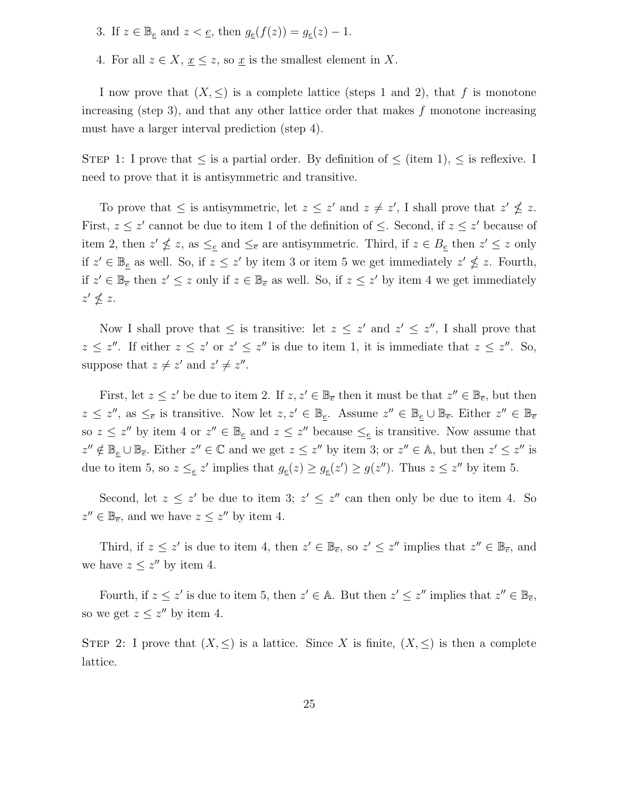- 3. If  $z \in \mathbb{B}_e$  and  $z < \underline{e}$ , then  $g_e(f(z)) = g_e(z) 1$ .
- 4. For all  $z \in X$ ,  $\underline{x} \leq z$ , so  $\underline{x}$  is the smallest element in X.

I now prove that  $(X, \leq)$  is a complete lattice (steps 1 and 2), that f is monotone increasing (step 3), and that any other lattice order that makes  $f$  monotone increasing must have a larger interval prediction (step 4).

STEP 1: I prove that  $\leq$  is a partial order. By definition of  $\leq$  (item 1),  $\leq$  is reflexive. I need to prove that it is antisymmetric and transitive.

To prove that  $\leq$  is antisymmetric, let  $z \leq z'$  and  $z \neq z'$ , I shall prove that  $z' \nleq z$ . First,  $z \leq z'$  cannot be due to item 1 of the definition of  $\leq$ . Second, if  $z \leq z'$  because of item 2, then  $z' \nleq z$ , as  $\leq_{\mathcal{E}}$  and  $\leq_{\overline{e}}$  are antisymmetric. Third, if  $z \in B_{\mathcal{E}}$  then  $z' \leq z$  only if  $z' \in \mathbb{B}_e$  as well. So, if  $z \leq z'$  by item 3 or item 5 we get immediately  $z' \nleq z$ . Fourth, if  $z' \in \mathbb{B}_{\overline{e}}$  then  $z' \leq z$  only if  $z \in \mathbb{B}_{\overline{e}}$  as well. So, if  $z \leq z'$  by item 4 we get immediately  $z' \nleq z$ .

Now I shall prove that  $\leq$  is transitive: let  $z \leq z'$  and  $z' \leq z''$ , I shall prove that  $z \leq z''$ . If either  $z \leq z'$  or  $z' \leq z''$  is due to item 1, it is immediate that  $z \leq z''$ . So, suppose that  $z \neq z'$  and  $z' \neq z''$ .

First, let  $z \leq z'$  be due to item 2. If  $z, z' \in \mathbb{B}_{\bar{e}}$  then it must be that  $z'' \in \mathbb{B}_{\bar{e}}$ , but then  $z \leq z''$ , as  $\leq_{\bar{e}}$  is transitive. Now let  $z, z' \in \mathbb{B}_{\underline{e}}$ . Assume  $z'' \in \mathbb{B}_{\underline{e}} \cup \mathbb{B}_{\overline{e}}$ . Either  $z'' \in \mathbb{B}_{\overline{e}}$ so  $z \leq z''$  by item 4 or  $z'' \in \mathbb{B}_e$  and  $z \leq z''$  because  $\leq_e$  is transitive. Now assume that  $z'' \notin \mathbb{B}_{\underline{e}} \cup \mathbb{B}_{\overline{e}}$ . Either  $z'' \in \mathbb{C}$  and we get  $z \leq z''$  by item 3; or  $z'' \in \mathbb{A}$ , but then  $z' \leq z''$  is due to item 5, so  $z \leq_{\underline{e}} z'$  implies that  $g_{\underline{e}}(z) \geq g_{\underline{e}}(z') \geq g(z'')$ . Thus  $z \leq z''$  by item 5.

Second, let  $z \leq z'$  be due to item 3;  $z' \leq z''$  can then only be due to item 4. So  $z'' \in \mathbb{B}_{\overline{e}}$ , and we have  $z \leq z''$  by item 4.

Third, if  $z \leq z'$  is due to item 4, then  $z' \in \mathbb{B}_{\overline{e}}$ , so  $z' \leq z''$  implies that  $z'' \in \mathbb{B}_{\overline{e}}$ , and we have  $z \leq z''$  by item 4.

Fourth, if  $z \leq z'$  is due to item 5, then  $z' \in A$ . But then  $z' \leq z''$  implies that  $z'' \in \mathbb{B}_{\overline{e}}$ , so we get  $z \leq z''$  by item 4.

STEP 2: I prove that  $(X, \leq)$  is a lattice. Since X is finite,  $(X, \leq)$  is then a complete lattice.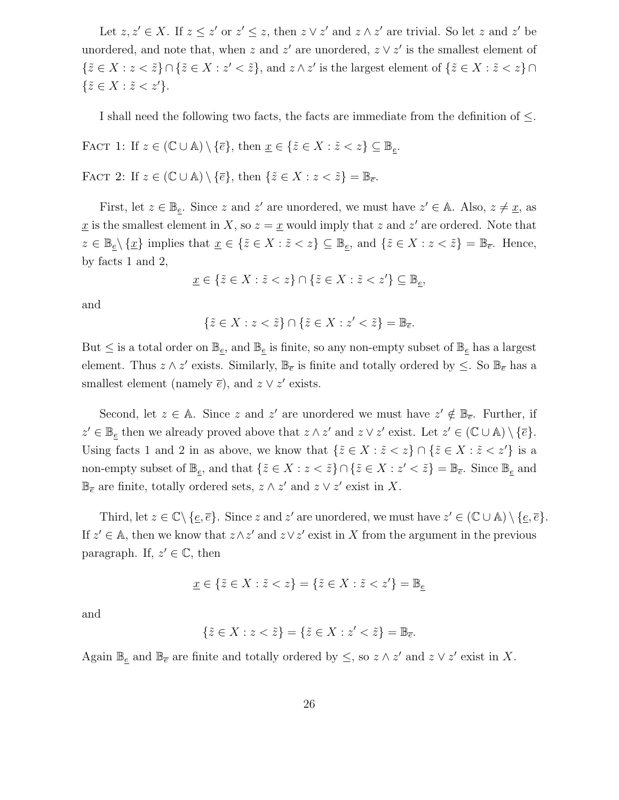Let  $z, z' \in X$ . If  $z \leq z'$  or  $z' \leq z$ , then  $z \vee z'$  and  $z \wedge z'$  are trivial. So let z and  $z'$  be unordered, and note that, when z and z' are unordered,  $z \vee z'$  is the smallest element of  $\{\tilde{z} \in X : z < \tilde{z}\} \cap \{\tilde{z} \in X : z' < \tilde{z}\},\$ and  $z \wedge z'$  is the largest element of  $\{\tilde{z} \in X : \tilde{z} < z\} \cap$  $\{\tilde{z} \in X : \tilde{z} < z'\}.$ 

I shall need the following two facts, the facts are immediate from the definition of  $\leq$ .

FACT 1: If  $z \in (\mathbb{C} \cup \mathbb{A}) \setminus {\overline{e}}$ , then  $\underline{x} \in {\overline{z}} \in X : \tilde{z} < z$   $\subseteq \mathbb{B}_e$ .

FACT 2: If  $z \in (\mathbb{C} \cup \mathbb{A}) \setminus {\overline{\epsilon}}$ , then  $\{\tilde{z} \in X : z < \tilde{z}\} = \mathbb{B}_{\overline{\epsilon}}$ .

First, let  $z \in \mathbb{B}_{\underline{e}}$ . Since z and z' are unordered, we must have  $z' \in \mathbb{A}$ . Also,  $z \neq \underline{x}$ , as x is the smallest element in X, so  $z = x$  would imply that z and z' are ordered. Note that  $z \in \mathbb{B}_e \setminus \{\underline{x}\}\$ implies that  $\underline{x} \in \{\tilde{z} \in X : \tilde{z} < z\} \subseteq \mathbb{B}_e$ , and  $\{\tilde{z} \in X : z < \tilde{z}\} = \mathbb{B}_{\overline{e}}$ . Hence, by facts 1 and 2,

$$
\underline{x} \in \{\tilde{z} \in X : \tilde{z} < z\} \cap \{\tilde{z} \in X : \tilde{z} < z'\} \subseteq \mathbb{B}_{\underline{e}},
$$

and

$$
\{\tilde{z} \in X : z < \tilde{z}\} \cap \{\tilde{z} \in X : z' < \tilde{z}\} = \mathbb{B}_{\overline{e}}.
$$

But  $\leq$  is a total order on  $\mathbb{B}_e$ , and  $\mathbb{B}_e$  is finite, so any non-empty subset of  $\mathbb{B}_e$  has a largest element. Thus  $z \wedge z'$  exists. Similarly,  $\mathbb{B}_{\bar{e}}$  is finite and totally ordered by  $\leq$ . So  $\mathbb{B}_{\bar{e}}$  has a smallest element (namely  $\bar{e}$ ), and  $z \vee z'$  exists.

Second, let  $z \in \mathbb{A}$ . Since z and z' are unordered we must have  $z' \notin \mathbb{B}_{\overline{e}}$ . Further, if  $z' \in \mathbb{B}_{\underline{e}}$  then we already proved above that  $z \wedge z'$  and  $z \vee z'$  exist. Let  $z' \in (\mathbb{C} \cup \mathbb{A}) \setminus {\overline{\overline{e}}}$ . Using facts 1 and 2 in as above, we know that  $\{\tilde{z} \in X : \tilde{z} < z\} \cap \{\tilde{z} \in X : \tilde{z} < z'\}$  is a non-empty subset of  $\mathbb{B}_{\underline{e}}$ , and that  $\{\tilde{z} \in X : z < \tilde{z}\} \cap {\{\tilde{z} \in X : z' < \tilde{z}\}} = \mathbb{B}_{\overline{e}}$ . Since  $\mathbb{B}_{\underline{e}}$  and  $\mathbb{B}_{\overline{e}}$  are finite, totally ordered sets,  $z \wedge z'$  and  $z \vee z'$  exist in X.

Third, let  $z \in \mathbb{C} \setminus \{\underline{e}, \overline{e}\}.$  Since z and z' are unordered, we must have  $z' \in (\mathbb{C} \cup \mathbb{A}) \setminus \{\underline{e}, \overline{e}\}.$ If  $z' \in A$ , then we know that  $z \wedge z'$  and  $z \vee z'$  exist in X from the argument in the previous paragraph. If,  $z' \in \mathbb{C}$ , then

$$
\underline{x} \in \{\tilde{z} \in X : \tilde{z} < z\} = \{\tilde{z} \in X : \tilde{z} < z'\} = \mathbb{B}_{\underline{e}}
$$

and

$$
\{\tilde z\in X:z<\tilde z\}=\{\tilde z\in X:z'<\tilde z\}=\mathbb B_{\bar e}.
$$

Again  $\mathbb{B}_{\varepsilon}$  and  $\mathbb{B}_{\overline{\varepsilon}}$  are finite and totally ordered by  $\leq$ , so  $z \wedge z'$  and  $z \vee z'$  exist in X.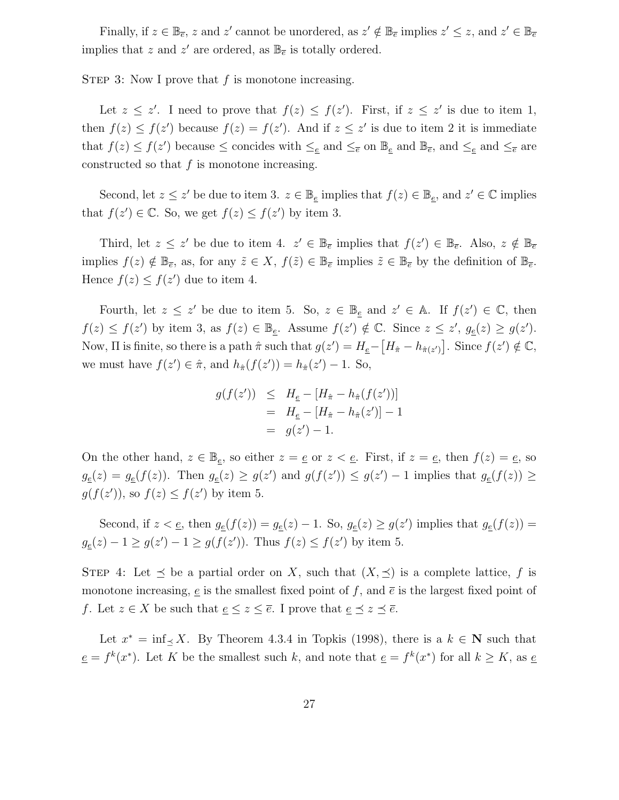Finally, if  $z \in \mathbb{B}_{\overline{e}}$ , z and z' cannot be unordered, as  $z' \notin \mathbb{B}_{\overline{e}}$  implies  $z' \leq z$ , and  $z' \in \mathbb{B}_{\overline{e}}$ implies that z and z' are ordered, as  $\mathbb{B}_{\bar{e}}$  is totally ordered.

STEP 3: Now I prove that  $f$  is monotone increasing.

Let  $z \leq z'$ . I need to prove that  $f(z) \leq f(z')$ . First, if  $z \leq z'$  is due to item 1, then  $f(z) \leq f(z')$  because  $f(z) = f(z')$ . And if  $z \leq z'$  is due to item 2 it is immediate that  $f(z) \leq f(z')$  because  $\leq$  concides with  $\leq_{\varepsilon}$  and  $\leq_{\overline{e}}$  on  $\mathbb{B}_{\varepsilon}$  and  $\mathbb{B}_{\overline{e}}$ , and  $\leq_{\varepsilon}$  and  $\leq_{\overline{e}}$  are constructed so that  $f$  is monotone increasing.

Second, let  $z \leq z'$  be due to item 3.  $z \in \mathbb{B}_{\underline{e}}$  implies that  $f(z) \in \mathbb{B}_{\underline{e}}$ , and  $z' \in \mathbb{C}$  implies that  $f(z') \in \mathbb{C}$ . So, we get  $f(z) \leq f(z')$  by item 3.

Third, let  $z \leq z'$  be due to item 4.  $z' \in \mathbb{B}_{\bar{e}}$  implies that  $f(z') \in \mathbb{B}_{\bar{e}}$ . Also,  $z \notin \mathbb{B}_{\bar{e}}$ implies  $f(z) \notin \mathbb{B}_{\overline{e}}$ , as, for any  $\tilde{z} \in X$ ,  $f(\tilde{z}) \in \mathbb{B}_{\overline{e}}$  implies  $\tilde{z} \in \mathbb{B}_{\overline{e}}$  by the definition of  $\mathbb{B}_{\overline{e}}$ . Hence  $f(z) \leq f(z')$  due to item 4.

Fourth, let  $z \leq z'$  be due to item 5. So,  $z \in \mathbb{B}_{\underline{e}}$  and  $z' \in \mathbb{A}$ . If  $f(z') \in \mathbb{C}$ , then  $f(z) \leq f(z')$  by item 3, as  $f(z) \in \mathbb{B}_{\underline{e}}$ . Assume  $f(z') \notin \mathbb{C}$ . Since  $z \leq z'$ ,  $g_{\underline{e}}(z) \geq g(z')$ . Now,  $\Pi$  is finite, so there is a path  $\hat{\pi}$  such that  $g(z') = H_{\underline{e}} - [H_{\hat{\pi}} - h_{\hat{\pi}(z')}].$  Since  $f(z') \notin \mathbb{C}$ , we must have  $f(z') \in \hat{\pi}$ , and  $h_{\hat{\pi}}(f(z')) = h_{\hat{\pi}}(z') - 1$ . So,

$$
g(f(z')) \leq H_{\underline{e}} - [H_{\hat{\pi}} - h_{\hat{\pi}}(f(z'))]
$$
  
=  $H_{\underline{e}} - [H_{\hat{\pi}} - h_{\hat{\pi}}(z')] - 1$   
=  $g(z') - 1$ .

On the other hand,  $z \in \mathbb{B}_e$ , so either  $z = e$  or  $z < e$ . First, if  $z = e$ , then  $f(z) = e$ , so  $g_{\underline{e}}(z) = g_{\underline{e}}(f(z))$ . Then  $g_{\underline{e}}(z) \ge g(z')$  and  $g(f(z')) \le g(z') - 1$  implies that  $g_{\underline{e}}(f(z)) \ge$  $g(f(z'))$ , so  $f(z) \leq f(z')$  by item 5.

Second, if  $z < \underline{e}$ , then  $g_{\underline{e}}(f(z)) = g_{\underline{e}}(z) - 1$ . So,  $g_{\underline{e}}(z) \ge g(z')$  implies that  $g_{\underline{e}}(f(z)) =$  $g_{\underline{e}}(z) - 1 \ge g(z') - 1 \ge g(f(z'))$ . Thus  $f(z) \le f(z')$  by item 5.

STEP 4: Let  $\preceq$  be a partial order on X, such that  $(X, \preceq)$  is a complete lattice, f is monotone increasing,  $\underline{e}$  is the smallest fixed point of f, and  $\overline{e}$  is the largest fixed point of f. Let  $z \in X$  be such that  $\underline{e} \leq z \leq \overline{e}$ . I prove that  $\underline{e} \preceq z \preceq \overline{e}$ .

Let  $x^* = \inf_{\leq} X$ . By Theorem 4.3.4 in Topkis (1998), there is a  $k \in \mathbb{N}$  such that  $\underline{e} = f^k(x^*)$ . Let K be the smallest such k, and note that  $\underline{e} = f^k(x^*)$  for all  $k \geq K$ , as  $\underline{e}$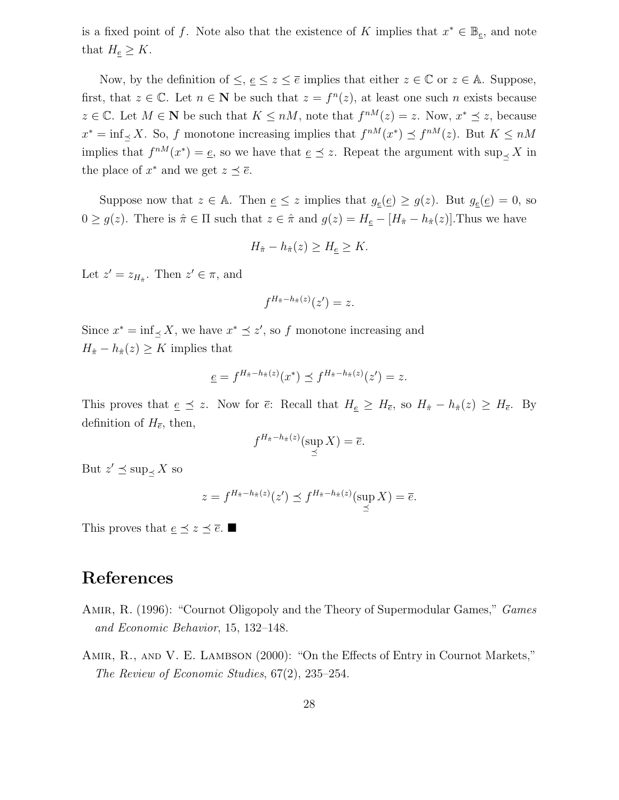is a fixed point of f. Note also that the existence of K implies that  $x^* \in \mathbb{B}_{\underline{e}}$ , and note that  $H_{\underline{e}} \geq K$ .

Now, by the definition of  $\leq, \underline{e} \leq z \leq \overline{e}$  implies that either  $z \in \mathbb{C}$  or  $z \in \mathbb{A}$ . Suppose, first, that  $z \in \mathbb{C}$ . Let  $n \in \mathbb{N}$  be such that  $z = f^{n}(z)$ , at least one such n exists because  $z \in \mathbb{C}$ . Let  $M \in \mathbb{N}$  be such that  $K \leq nM$ , note that  $f^{nM}(z) = z$ . Now,  $x^* \preceq z$ , because  $x^* = \inf_{n \leq X} X$ . So, f monotone increasing implies that  $f^{nM}(x^*) \leq f^{nM}(z)$ . But  $K \leq nM$ implies that  $f^{nM}(x^*) = \underline{e}$ , so we have that  $\underline{e} \preceq z$ . Repeat the argument with  $\sup_{\leq X} X$  in the place of  $x^*$  and we get  $z \preceq \overline{e}$ .

Suppose now that  $z \in \mathbb{A}$ . Then  $\underline{e} \leq z$  implies that  $g_{\underline{e}}(\underline{e}) \geq g(z)$ . But  $g_{\underline{e}}(\underline{e}) = 0$ , so  $0 \ge g(z)$ . There is  $\hat{\pi} \in \Pi$  such that  $z \in \hat{\pi}$  and  $g(z) = H_{\underline{e}} - [H_{\hat{\pi}} - h_{\hat{\pi}}(z)]$ . Thus we have

$$
H_{\hat{\pi}} - h_{\hat{\pi}}(z) \ge H_{\underline{e}} \ge K.
$$

Let  $z' = z_{H_{\hat{\pi}}}$ . Then  $z' \in \pi$ , and

$$
f^{H_{\hat{\pi}}-h_{\hat{\pi}}(z)}(z')=z.
$$

Since  $x^* = \inf_{\leq} X$ , we have  $x^* \leq z'$ , so f monotone increasing and  $H_{\hat{\pi}} - h_{\hat{\pi}}(z) \geq K$  implies that

$$
\underline{e} = f^{H_{\hat{\pi}} - h_{\hat{\pi}}(z)}(x^*) \preceq f^{H_{\hat{\pi}} - h_{\hat{\pi}}(z)}(z') = z.
$$

This proves that  $\underline{e} \preceq z$ . Now for  $\overline{e}$ : Recall that  $H_{\underline{e}} \geq H_{\overline{e}}$ , so  $H_{\hat{\pi}} - h_{\hat{\pi}}(z) \geq H_{\overline{e}}$ . By definition of  $H_{\overline{e}}$ , then,

$$
f^{H_{\hat{\pi}}-h_{\hat{\pi}}(z)}(\sup_{\preceq} X) = \overline{e}.
$$

But  $z' \preceq \sup_{\preceq} X$  so

$$
z = f^{H_{\hat{\pi}} - h_{\hat{\pi}}(z)}(z') \preceq f^{H_{\hat{\pi}} - h_{\hat{\pi}}(z)}(\sup_{\preceq} X) = \overline{e}.
$$

This proves that  $\underline{e} \preceq z \preceq \overline{e}$ .

### References

- AMIR, R. (1996): "Cournot Oligopoly and the Theory of Supermodular Games," Games and Economic Behavior, 15, 132–148.
- AMIR, R., AND V. E. LAMBSON (2000): "On the Effects of Entry in Cournot Markets," The Review of Economic Studies, 67(2), 235–254.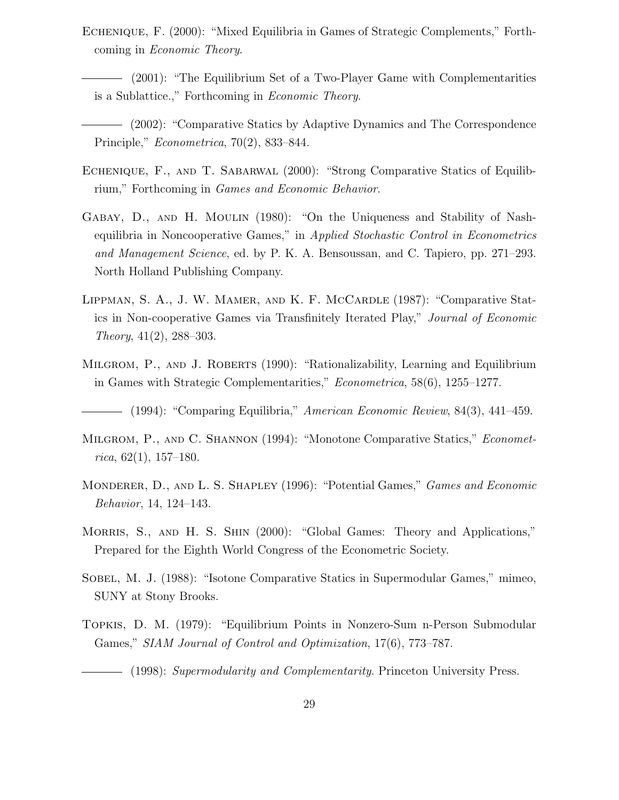- Echenique, F. (2000): "Mixed Equilibria in Games of Strategic Complements," Forthcoming in Economic Theory.
- (2001): "The Equilibrium Set of a Two-Player Game with Complementarities is a Sublattice.," Forthcoming in Economic Theory.
- (2002): "Comparative Statics by Adaptive Dynamics and The Correspondence Principle," Econometrica, 70(2), 833–844.
- Echenique, F., and T. Sabarwal (2000): "Strong Comparative Statics of Equilibrium," Forthcoming in Games and Economic Behavior.
- Gabay, D., and H. Moulin (1980): "On the Uniqueness and Stability of Nashequilibria in Noncooperative Games," in Applied Stochastic Control in Econometrics and Management Science, ed. by P. K. A. Bensoussan, and C. Tapiero, pp. 271–293. North Holland Publishing Company.
- Lippman, S. A., J. W. Mamer, and K. F. McCardle (1987): "Comparative Statics in Non-cooperative Games via Transfinitely Iterated Play," Journal of Economic Theory,  $41(2)$ ,  $288-303$ .
- Milgrom, P., and J. Roberts (1990): "Rationalizability, Learning and Equilibrium in Games with Strategic Complementarities," Econometrica, 58(6), 1255–1277.
- (1994): "Comparing Equilibria," American Economic Review, 84(3), 441–459.
- Milgrom, P., and C. Shannon (1994): "Monotone Comparative Statics," Economet $rica, 62(1), 157-180.$
- MONDERER, D., AND L. S. SHAPLEY (1996): "Potential Games," *Games and Economic* Behavior, 14, 124–143.
- Morris, S., and H. S. Shin (2000): "Global Games: Theory and Applications," Prepared for the Eighth World Congress of the Econometric Society.
- Sobel, M. J. (1988): "Isotone Comparative Statics in Supermodular Games," mimeo, SUNY at Stony Brooks.
- Topkis, D. M. (1979): "Equilibrium Points in Nonzero-Sum n-Person Submodular Games," SIAM Journal of Control and Optimization, 17(6), 773–787.

- (1998): Supermodularity and Complementarity. Princeton University Press.